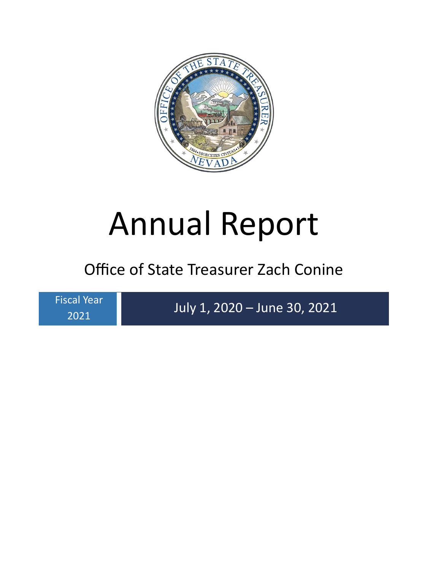

# Annual Report

# Office of State Treasurer Zach Conine

Fiscal Year 2021

July 1, 2020 – June 30, 2021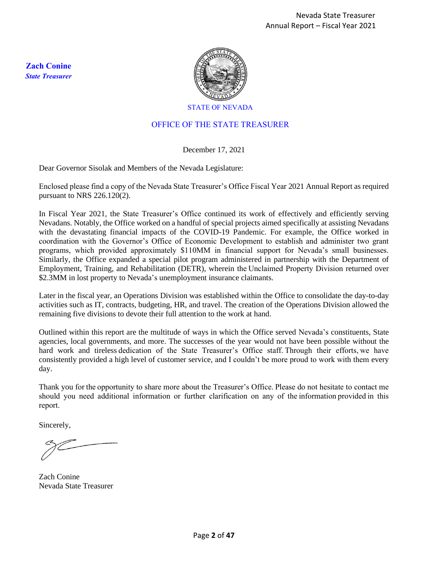**Zach Conine**  *State Treasurer*



STATE OF NEVADA

#### OFFICE OF THE STATE TREASURER

#### December 17, 2021

Dear Governor Sisolak and Members of the Nevada Legislature:

Enclosed please find a copy of the Nevada State Treasurer's Office Fiscal Year 2021 Annual Report as required pursuant to NRS 226.120(2).

In Fiscal Year 2021, the State Treasurer's Office continued its work of effectively and efficiently serving Nevadans. Notably, the Office worked on a handful of special projects aimed specifically at assisting Nevadans with the devastating financial impacts of the COVID-19 Pandemic. For example, the Office worked in coordination with the Governor's Office of Economic Development to establish and administer two grant programs, which provided approximately \$110MM in financial support for Nevada's small businesses. Similarly, the Office expanded a special pilot program administered in partnership with the Department of Employment, Training, and Rehabilitation (DETR), wherein the Unclaimed Property Division returned over \$2.3MM in lost property to Nevada's unemployment insurance claimants.

Later in the fiscal year, an Operations Division was established within the Office to consolidate the day-to-day activities such as IT, contracts, budgeting, HR, and travel. The creation of the Operations Division allowed the remaining five divisions to devote their full attention to the work at hand.

Outlined within this report are the multitude of ways in which the Office served Nevada's constituents, State agencies, local governments, and more. The successes of the year would not have been possible without the hard work and tireless dedication of the State Treasurer's Office staff. Through their efforts, we have consistently provided a high level of customer service, and I couldn't be more proud to work with them every day.

Thank you for the opportunity to share more about the Treasurer's Office. Please do not hesitate to contact me should you need additional information or further clarification on any of the information provided in this report.  

Sincerely,

Zach Conine Nevada State Treasurer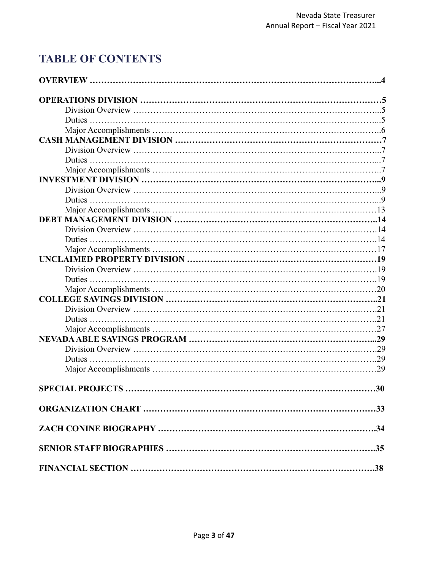# **TABLE OF CONTENTS**

<span id="page-2-0"></span>

| .30 |
|-----|
|     |
|     |
|     |
|     |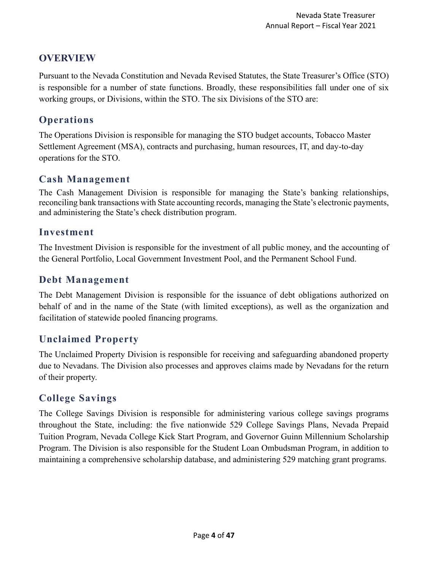# **OVERVIEW**

Pursuant to the Nevada Constitution and Nevada Revised Statutes, the State Treasurer's Office (STO) is responsible for a number of state functions. Broadly, these responsibilities fall under one of six working groups, or Divisions, within the STO. The six Divisions of the STO are:

# **Operations**

The Operations Division is responsible for managing the STO budget accounts, Tobacco Master Settlement Agreement (MSA), contracts and purchasing, human resources, IT, and day-to-day operations for the STO.

#### **Cash Management**

The Cash Management Division is responsible for managing the State's banking relationships, reconciling bank transactions with State accounting records, managing the State's electronic payments, and administering the State's check distribution program.

#### **Investment**

The Investment Division is responsible for the investment of all public money, and the accounting of the General Portfolio, Local Government Investment Pool, and the Permanent School Fund.

#### **Debt Management**

The Debt Management Division is responsible for the issuance of debt obligations authorized on behalf of and in the name of the State (with limited exceptions), as well as the organization and facilitation of statewide pooled financing programs.

# **Unclaimed Property**

The Unclaimed Property Division is responsible for receiving and safeguarding abandoned property due to Nevadans. The Division also processes and approves claims made by Nevadans for the return of their property.

#### **College Savings**

The College Savings Division is responsible for administering various college savings programs throughout the State, including: the five nationwide 529 College Savings Plans, Nevada Prepaid Tuition Program, Nevada College Kick Start Program, and Governor Guinn Millennium Scholarship Program. The Division is also responsible for the Student Loan Ombudsman Program, in addition to maintaining a comprehensive scholarship database, and administering 529 matching grant programs.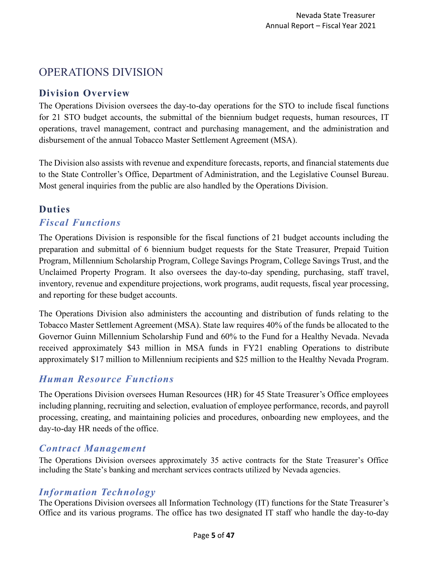# <span id="page-4-0"></span>OPERATIONS DIVISION

#### <span id="page-4-1"></span>**Division Overview**

The Operations Division oversees the day-to-day operations for the STO to include fiscal functions for 21 STO budget accounts, the submittal of the biennium budget requests, human resources, IT operations, travel management, contract and purchasing management, and the administration and disbursement of the annual Tobacco Master Settlement Agreement (MSA).

The Division also assists with revenue and expenditure forecasts, reports, and financial statements due to the State Controller's Office, Department of Administration, and the Legislative Counsel Bureau. Most general inquiries from the public are also handled by the Operations Division.

# <span id="page-4-2"></span>**Duties**

#### *Fiscal Functions*

The Operations Division is responsible for the fiscal functions of 21 budget accounts including the preparation and submittal of 6 biennium budget requests for the State Treasurer, Prepaid Tuition Program, Millennium Scholarship Program, College Savings Program, College Savings Trust, and the Unclaimed Property Program. It also oversees the day-to-day spending, purchasing, staff travel, inventory, revenue and expenditure projections, work programs, audit requests, fiscal year processing, and reporting for these budget accounts.

The Operations Division also administers the accounting and distribution of funds relating to the Tobacco Master Settlement Agreement (MSA). State law requires 40% of the funds be allocated to the Governor Guinn Millennium Scholarship Fund and 60% to the Fund for a Healthy Nevada. Nevada received approximately \$43 million in MSA funds in FY21 enabling Operations to distribute approximately \$17 million to Millennium recipients and \$25 million to the Healthy Nevada Program.

# *Human Resource Functions*

The Operations Division oversees Human Resources (HR) for 45 State Treasurer's Office employees including planning, recruiting and selection, evaluation of employee performance, records, and payroll processing, creating, and maintaining policies and procedures, onboarding new employees, and the day-to-day HR needs of the office.

#### *Contract Management*

The Operations Division oversees approximately 35 active contracts for the State Treasurer's Office including the State's banking and merchant services contracts utilized by Nevada agencies.

#### *Information Technology*

The Operations Division oversees all Information Technology (IT) functions for the State Treasurer's Office and its various programs. The office has two designated IT staff who handle the day-to-day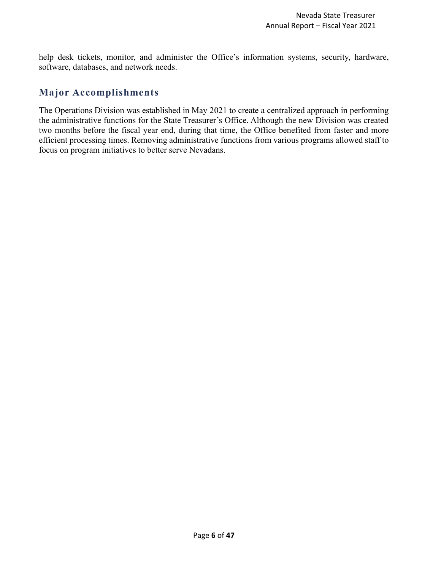help desk tickets, monitor, and administer the Office's information systems, security, hardware, software, databases, and network needs.

#### **Major Accomplishments**

<span id="page-5-0"></span>The Operations Division was established in May 2021 to create a centralized approach in performing the administrative functions for the State Treasurer's Office. Although the new Division was created two months before the fiscal year end, during that time, the Office benefited from faster and more efficient processing times. Removing administrative functions from various programs allowed staff to focus on program initiatives to better serve Nevadans.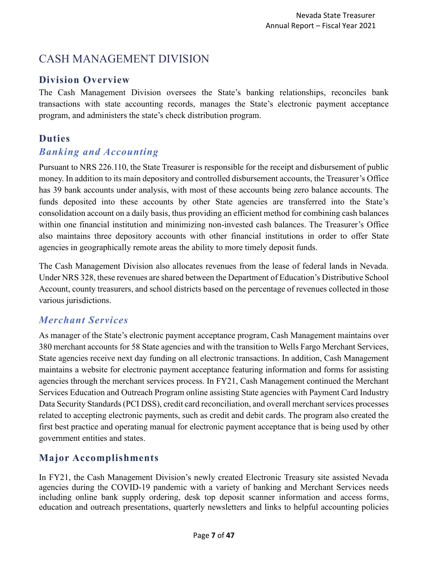# <span id="page-6-0"></span>CASH MANAGEMENT DIVISION

#### <span id="page-6-1"></span>**Division Overview**

The Cash Management Division oversees the State's banking relationships, reconciles bank transactions with state accounting records, manages the State's electronic payment acceptance program, and administers the state's check distribution program.

# <span id="page-6-2"></span>**Duties**

#### *Banking and Accounting*

Pursuant to NRS 226.110, the State Treasurer is responsible for the receipt and disbursement of public money. In addition to its main depository and controlled disbursement accounts, the Treasurer's Office has 39 bank accounts under analysis, with most of these accounts being zero balance accounts. The funds deposited into these accounts by other State agencies are transferred into the State's consolidation account on a daily basis, thus providing an efficient method for combining cash balances within one financial institution and minimizing non-invested cash balances. The Treasurer's Office also maintains three depository accounts with other financial institutions in order to offer State agencies in geographically remote areas the ability to more timely deposit funds.

The Cash Management Division also allocates revenues from the lease of federal lands in Nevada. Under NRS 328, these revenues are shared between the Department of Education's Distributive School Account, county treasurers, and school districts based on the percentage of revenues collected in those various jurisdictions.

# *Merchant Services*

As manager of the State's electronic payment acceptance program, Cash Management maintains over 380 merchant accounts for 58 State agencies and with the transition to Wells Fargo Merchant Services, State agencies receive next day funding on all electronic transactions. In addition, Cash Management maintains a website for electronic payment acceptance featuring information and forms for assisting agencies through the merchant services process. In FY21, Cash Management continued the Merchant Services Education and Outreach Program online assisting State agencies with Payment Card Industry Data Security Standards (PCI DSS), credit card reconciliation, and overall merchant services processes related to accepting electronic payments, such as credit and debit cards. The program also created the first best practice and operating manual for electronic payment acceptance that is being used by other government entities and states.

# **Major Accomplishments**

<span id="page-6-3"></span>In FY21, the Cash Management Division's newly created Electronic Treasury site assisted Nevada agencies during the COVID-19 pandemic with a variety of banking and Merchant Services needs including online bank supply ordering, desk top deposit scanner information and access forms, education and outreach presentations, quarterly newsletters and links to helpful accounting policies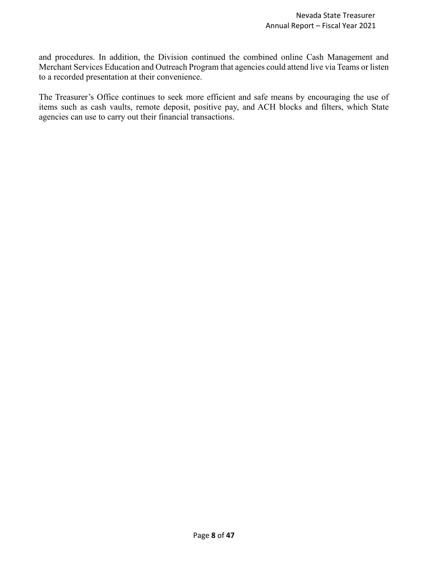and procedures. In addition, the Division continued the combined online Cash Management and Merchant Services Education and Outreach Program that agencies could attend live via Teams or listen to a recorded presentation at their convenience.

The Treasurer's Office continues to seek more efficient and safe means by encouraging the use of items such as cash vaults, remote deposit, positive pay, and ACH blocks and filters, which State agencies can use to carry out their financial transactions.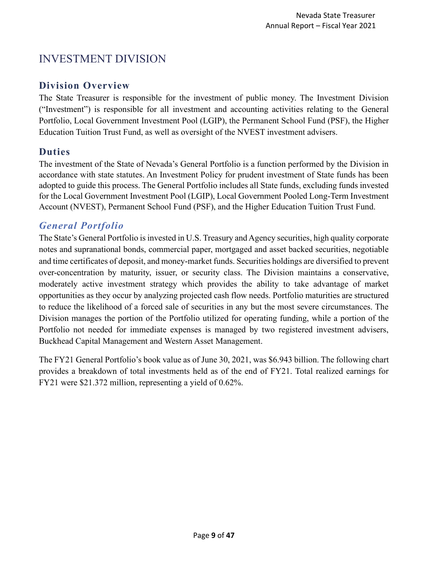# <span id="page-8-0"></span>INVESTMENT DIVISION

#### <span id="page-8-1"></span>**Division Overview**

The State Treasurer is responsible for the investment of public money. The Investment Division ("Investment") is responsible for all investment and accounting activities relating to the General Portfolio, Local Government Investment Pool (LGIP), the Permanent School Fund (PSF), the Higher Education Tuition Trust Fund, as well as oversight of the NVEST investment advisers.

# <span id="page-8-2"></span>**Duties**

The investment of the State of Nevada's General Portfolio is a function performed by the Division in accordance with state statutes. An Investment Policy for prudent investment of State funds has been adopted to guide this process. The General Portfolio includes all State funds, excluding funds invested for the Local Government Investment Pool (LGIP), Local Government Pooled Long-Term Investment Account (NVEST), Permanent School Fund (PSF), and the Higher Education Tuition Trust Fund.

# *General Portfolio*

The State's General Portfolio is invested in U.S. Treasury and Agency securities, high quality corporate notes and supranational bonds, commercial paper, mortgaged and asset backed securities, negotiable and time certificates of deposit, and money-market funds. Securities holdings are diversified to prevent over-concentration by maturity, issuer, or security class. The Division maintains a conservative, moderately active investment strategy which provides the ability to take advantage of market opportunities as they occur by analyzing projected cash flow needs. Portfolio maturities are structured to reduce the likelihood of a forced sale of securities in any but the most severe circumstances. The Division manages the portion of the Portfolio utilized for operating funding, while a portion of the Portfolio not needed for immediate expenses is managed by two registered investment advisers, Buckhead Capital Management and Western Asset Management.

The FY21 General Portfolio's book value as of June 30, 2021, was \$6.943 billion. The following chart provides a breakdown of total investments held as of the end of FY21. Total realized earnings for FY21 were \$21.372 million, representing a yield of 0.62%.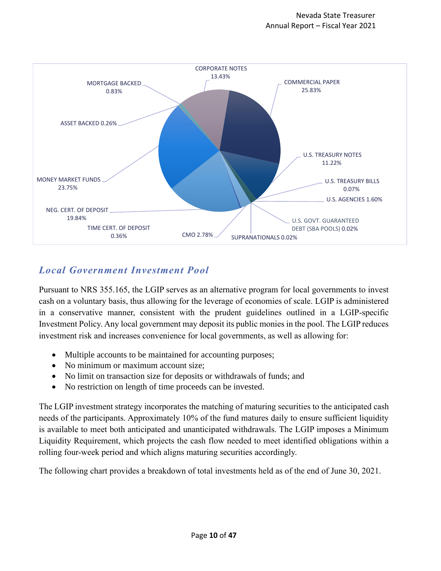

# *Local Government Investment Pool*

Pursuant to NRS 355.165, the LGIP serves as an alternative program for local governments to invest cash on a voluntary basis, thus allowing for the leverage of economies of scale. LGIP is administered in a conservative manner, consistent with the prudent guidelines outlined in a LGIP-specific Investment Policy. Any local government may deposit its public monies in the pool. The LGIP reduces investment risk and increases convenience for local governments, as well as allowing for:

- Multiple accounts to be maintained for accounting purposes;
- No minimum or maximum account size:
- No limit on transaction size for deposits or withdrawals of funds; and
- No restriction on length of time proceeds can be invested.

The LGIP investment strategy incorporates the matching of maturing securities to the anticipated cash needs of the participants. Approximately 10% of the fund matures daily to ensure sufficient liquidity is available to meet both anticipated and unanticipated withdrawals. The LGIP imposes a Minimum Liquidity Requirement, which projects the cash flow needed to meet identified obligations within a rolling four-week period and which aligns maturing securities accordingly.

The following chart provides a breakdown of total investments held as of the end of June 30, 2021.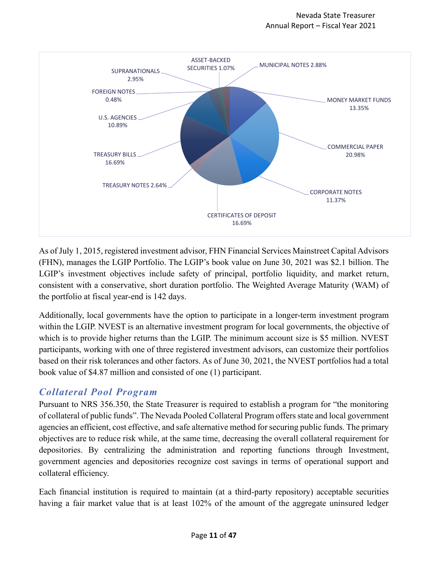

As of July 1, 2015, registered investment advisor, FHN Financial Services Mainstreet Capital Advisors (FHN), manages the LGIP Portfolio. The LGIP's book value on June 30, 2021 was \$2.1 billion. The LGIP's investment objectives include safety of principal, portfolio liquidity, and market return, consistent with a conservative, short duration portfolio. The Weighted Average Maturity (WAM) of the portfolio at fiscal year-end is 142 days.

Additionally, local governments have the option to participate in a longer-term investment program within the LGIP. NVEST is an alternative investment program for local governments, the objective of which is to provide higher returns than the LGIP. The minimum account size is \$5 million. NVEST participants, working with one of three registered investment advisors, can customize their portfolios based on their risk tolerances and other factors. As of June 30, 2021, the NVEST portfolios had a total book value of \$4.87 million and consisted of one (1) participant.

# *Collateral Pool Program*

Pursuant to NRS 356.350, the State Treasurer is required to establish a program for "the monitoring of collateral of public funds". The Nevada Pooled Collateral Program offers state and local government agencies an efficient, cost effective, and safe alternative method for securing public funds. The primary objectives are to reduce risk while, at the same time, decreasing the overall collateral requirement for depositories. By centralizing the administration and reporting functions through Investment, government agencies and depositories recognize cost savings in terms of operational support and collateral efficiency.

Each financial institution is required to maintain (at a third-party repository) acceptable securities having a fair market value that is at least 102% of the amount of the aggregate uninsured ledger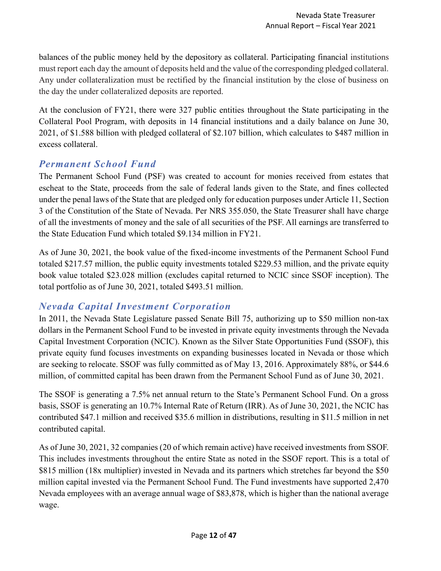balances of the public money held by the depository as collateral. Participating financial institutions must report each day the amount of deposits held and the value of the corresponding pledged collateral. Any under collateralization must be rectified by the financial institution by the close of business on the day the under collateralized deposits are reported.

At the conclusion of FY21, there were 327 public entities throughout the State participating in the Collateral Pool Program, with deposits in 14 financial institutions and a daily balance on June 30, 2021, of \$1.588 billion with pledged collateral of \$2.107 billion, which calculates to \$487 million in excess collateral.

# *Permanent School Fund*

The Permanent School Fund (PSF) was created to account for monies received from estates that escheat to the State, proceeds from the sale of federal lands given to the State, and fines collected under the penal laws of the State that are pledged only for education purposes under Article 11, Section 3 of the Constitution of the State of Nevada. Per NRS 355.050, the State Treasurer shall have charge of all the investments of money and the sale of all securities of the PSF. All earnings are transferred to the State Education Fund which totaled \$9.134 million in FY21.

As of June 30, 2021, the book value of the fixed-income investments of the Permanent School Fund totaled \$217.57 million, the public equity investments totaled \$229.53 million, and the private equity book value totaled \$23.028 million (excludes capital returned to NCIC since SSOF inception). The total portfolio as of June 30, 2021, totaled \$493.51 million.

# *Nevada Capital Investment Corporation*

In 2011, the Nevada State Legislature passed Senate Bill 75, authorizing up to \$50 million non-tax dollars in the Permanent School Fund to be invested in private equity investments through the Nevada Capital Investment Corporation (NCIC). Known as the Silver State Opportunities Fund (SSOF), this private equity fund focuses investments on expanding businesses located in Nevada or those which are seeking to relocate. SSOF was fully committed as of May 13, 2016. Approximately 88%, or \$44.6 million, of committed capital has been drawn from the Permanent School Fund as of June 30, 2021.

The SSOF is generating a 7.5% net annual return to the State's Permanent School Fund. On a gross basis, SSOF is generating an 10.7% Internal Rate of Return (IRR). As of June 30, 2021, the NCIC has contributed \$47.1 million and received \$35.6 million in distributions, resulting in \$11.5 million in net contributed capital.

As of June 30, 2021, 32 companies (20 of which remain active) have received investments from SSOF. This includes investments throughout the entire State as noted in the SSOF report. This is a total of \$815 million (18x multiplier) invested in Nevada and its partners which stretches far beyond the \$50 million capital invested via the Permanent School Fund. The Fund investments have supported 2,470 Nevada employees with an average annual wage of \$83,878, which is higher than the national average wage.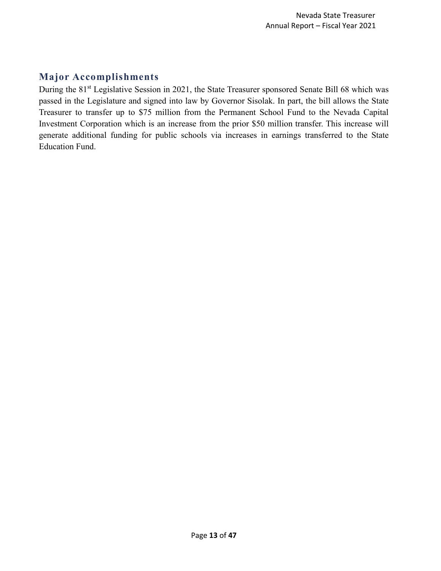# <span id="page-12-0"></span>**Major Accomplishments**

During the 81<sup>st</sup> Legislative Session in 2021, the State Treasurer sponsored Senate Bill 68 which was passed in the Legislature and signed into law by Governor Sisolak. In part, the bill allows the State Treasurer to transfer up to \$75 million from the Permanent School Fund to the Nevada Capital Investment Corporation which is an increase from the prior \$50 million transfer. This increase will generate additional funding for public schools via increases in earnings transferred to the State Education Fund.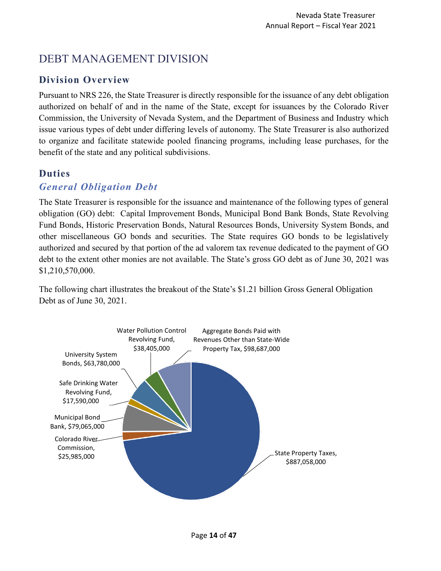# <span id="page-13-0"></span>DEBT MANAGEMENT DIVISION

# <span id="page-13-1"></span>**Division Overview**

Pursuant to NRS 226, the State Treasurer is directly responsible for the issuance of any debt obligation authorized on behalf of and in the name of the State, except for issuances by the Colorado River Commission, the University of Nevada System, and the Department of Business and Industry which issue various types of debt under differing levels of autonomy. The State Treasurer is also authorized to organize and facilitate statewide pooled financing programs, including lease purchases, for the benefit of the state and any political subdivisions.

# <span id="page-13-2"></span>**Duties**

#### *General Obligation Debt*

The State Treasurer is responsible for the issuance and maintenance of the following types of general obligation (GO) debt: Capital Improvement Bonds, Municipal Bond Bank Bonds, State Revolving Fund Bonds, Historic Preservation Bonds, Natural Resources Bonds, University System Bonds, and other miscellaneous GO bonds and securities. The State requires GO bonds to be legislatively authorized and secured by that portion of the ad valorem tax revenue dedicated to the payment of GO debt to the extent other monies are not available. The State's gross GO debt as of June 30, 2021 was \$1,210,570,000.

The following chart illustrates the breakout of the State's \$1.21 billion Gross General Obligation Debt as of June 30, 2021.

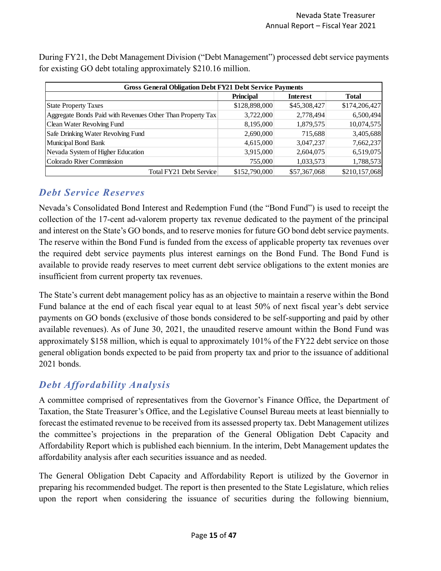| <b>Gross General Obligation Debt FY21 Debt Service Payments</b> |                  |                 |               |  |  |  |  |
|-----------------------------------------------------------------|------------------|-----------------|---------------|--|--|--|--|
|                                                                 | <b>Principal</b> | <b>Interest</b> | <b>Total</b>  |  |  |  |  |
| <b>State Property Taxes</b>                                     | \$128,898,000    | \$45,308,427    | \$174,206,427 |  |  |  |  |
| Aggregate Bonds Paid with Revenues Other Than Property Tax      | 3,722,000        | 2,778,494       | 6,500,494     |  |  |  |  |
| Clean Water Revolving Fund                                      | 8,195,000        | 1,879,575       | 10,074,575    |  |  |  |  |
| Safe Drinking Water Revolving Fund                              | 2,690,000        | 715,688         | 3,405,688     |  |  |  |  |
| Municipal Bond Bank                                             | 4,615,000        | 3,047,237       | 7,662,237     |  |  |  |  |
| Nevada System of Higher Education                               | 3,915,000        | 2,604,075       | 6,519,075     |  |  |  |  |
| Colorado River Commission                                       | 755,000          | 1,033,573       | 1,788,573     |  |  |  |  |
| Total FY21 Debt Service                                         | \$152,790,000    | \$57,367,068    | \$210,157,068 |  |  |  |  |

During FY21, the Debt Management Division ("Debt Management") processed debt service payments for existing GO debt totaling approximately \$210.16 million.

#### *Debt Service Reserves*

Nevada's Consolidated Bond Interest and Redemption Fund (the "Bond Fund") is used to receipt the collection of the 17-cent ad-valorem property tax revenue dedicated to the payment of the principal and interest on the State's GO bonds, and to reserve monies for future GO bond debt service payments. The reserve within the Bond Fund is funded from the excess of applicable property tax revenues over the required debt service payments plus interest earnings on the Bond Fund. The Bond Fund is available to provide ready reserves to meet current debt service obligations to the extent monies are insufficient from current property tax revenues.

The State's current debt management policy has as an objective to maintain a reserve within the Bond Fund balance at the end of each fiscal year equal to at least 50% of next fiscal year's debt service payments on GO bonds (exclusive of those bonds considered to be self-supporting and paid by other available revenues). As of June 30, 2021, the unaudited reserve amount within the Bond Fund was approximately \$158 million, which is equal to approximately 101% of the FY22 debt service on those general obligation bonds expected to be paid from property tax and prior to the issuance of additional 2021 bonds.

#### *Debt Affordability Analysis*

A committee comprised of representatives from the Governor's Finance Office, the Department of Taxation, the State Treasurer's Office, and the Legislative Counsel Bureau meets at least biennially to forecast the estimated revenue to be received from its assessed property tax. Debt Management utilizes the committee's projections in the preparation of the General Obligation Debt Capacity and Affordability Report which is published each biennium. In the interim, Debt Management updates the affordability analysis after each securities issuance and as needed.

The General Obligation Debt Capacity and Affordability Report is utilized by the Governor in preparing his recommended budget. The report is then presented to the State Legislature, which relies upon the report when considering the issuance of securities during the following biennium,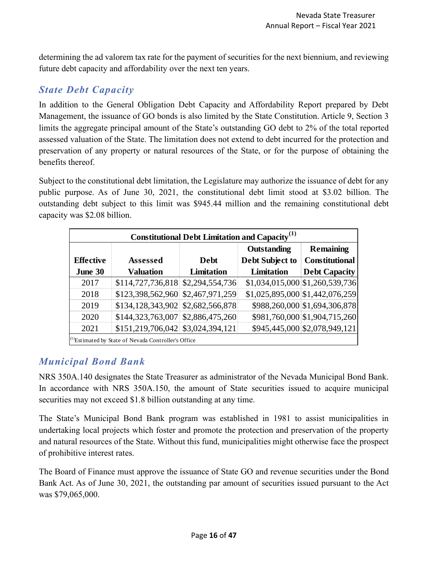determining the ad valorem tax rate for the payment of securities for the next biennium, and reviewing future debt capacity and affordability over the next ten years.

# *State Debt Capacity*

In addition to the General Obligation Debt Capacity and Affordability Report prepared by Debt Management, the issuance of GO bonds is also limited by the State Constitution. Article 9, Section 3 limits the aggregate principal amount of the State's outstanding GO debt to 2% of the total reported assessed valuation of the State. The limitation does not extend to debt incurred for the protection and preservation of any property or natural resources of the State, or for the purpose of obtaining the benefits thereof.

Subject to the constitutional debt limitation, the Legislature may authorize the issuance of debt for any public purpose. As of June 30, 2021, the constitutional debt limit stood at \$3.02 billion. The outstanding debt subject to this limit was \$945.44 million and the remaining constitutional debt capacity was \$2.08 billion.

| Constitutional Debt Limitation and Capacity <sup>(1)</sup> |                                                                 |                 |                 |                                  |  |  |  |  |
|------------------------------------------------------------|-----------------------------------------------------------------|-----------------|-----------------|----------------------------------|--|--|--|--|
|                                                            |                                                                 |                 | Outstanding     | <b>Remaining</b>                 |  |  |  |  |
| <b>Effective</b>                                           | <b>Assessed</b>                                                 | <b>Debt</b>     | Debt Subject to | <b>Constitutional</b>            |  |  |  |  |
| June 30                                                    | <b>Valuation</b>                                                | Limitation      | Limitation      | <b>Debt Capacity</b>             |  |  |  |  |
| 2017                                                       | $$114,727,736,818$ $$2,294,554,736$                             |                 |                 | \$1,034,015,000 \$1,260,539,736  |  |  |  |  |
| 2018                                                       | \$123,398,562,960                                               | \$2,467,971,259 |                 | $$1,025,895,000$ \$1,442,076,259 |  |  |  |  |
| 2019                                                       | \$134, 128, 343, 902                                            | \$2,682,566,878 |                 | \$988,260,000 \$1,694,306,878    |  |  |  |  |
| 2020                                                       | $$144,323,763,007$ $$2,886,475,260$                             |                 |                 | \$981,760,000 \$1,904,715,260    |  |  |  |  |
| 2021                                                       | $$151,219,706,042 \mid $3,024,394,121$                          |                 |                 | \$945,445,000 \$2,078,949,121    |  |  |  |  |
|                                                            | <sup>(1)</sup> Estimated by State of Nevada Controller's Office |                 |                 |                                  |  |  |  |  |

# *Municipal Bond Bank*

NRS 350A.140 designates the State Treasurer as administrator of the Nevada Municipal Bond Bank. In accordance with NRS 350A.150, the amount of State securities issued to acquire municipal securities may not exceed \$1.8 billion outstanding at any time.

The State's Municipal Bond Bank program was established in 1981 to assist municipalities in undertaking local projects which foster and promote the protection and preservation of the property and natural resources of the State. Without this fund, municipalities might otherwise face the prospect of prohibitive interest rates.

The Board of Finance must approve the issuance of State GO and revenue securities under the Bond Bank Act. As of June 30, 2021, the outstanding par amount of securities issued pursuant to the Act was \$79,065,000.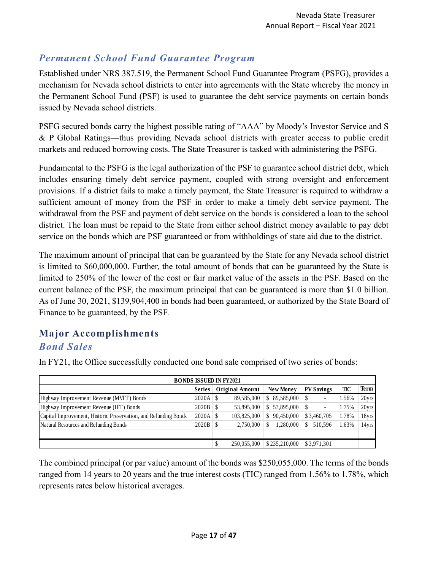# *Permanent School Fund Guarantee Program*

Established under NRS 387.519, the Permanent School Fund Guarantee Program (PSFG), provides a mechanism for Nevada school districts to enter into agreements with the State whereby the money in the Permanent School Fund (PSF) is used to guarantee the debt service payments on certain bonds issued by Nevada school districts.

PSFG secured bonds carry the highest possible rating of "AAA" by Moody's Investor Service and S & P Global Ratings—thus providing Nevada school districts with greater access to public credit markets and reduced borrowing costs. The State Treasurer is tasked with administering the PSFG.

Fundamental to the PSFG is the legal authorization of the PSF to guarantee school district debt, which includes ensuring timely debt service payment, coupled with strong oversight and enforcement provisions. If a district fails to make a timely payment, the State Treasurer is required to withdraw a sufficient amount of money from the PSF in order to make a timely debt service payment. The withdrawal from the PSF and payment of debt service on the bonds is considered a loan to the school district. The loan must be repaid to the State from either school district money available to pay debt service on the bonds which are PSF guaranteed or from withholdings of state aid due to the district.

The maximum amount of principal that can be guaranteed by the State for any Nevada school district is limited to \$60,000,000. Further, the total amount of bonds that can be guaranteed by the State is limited to 250% of the lower of the cost or fair market value of the assets in the PSF. Based on the current balance of the PSF, the maximum principal that can be guaranteed is more than \$1.0 billion. As of June 30, 2021, \$139,904,400 in bonds had been guaranteed, or authorized by the State Board of Finance to be guaranteed, by the PSF.

# <span id="page-16-0"></span>**Major Accomplishments** *Bond Sales*

| <b>BONDS ISSUED IN FY2021</b>                                   |               |  |                        |  |                  |   |                          |       |       |
|-----------------------------------------------------------------|---------------|--|------------------------|--|------------------|---|--------------------------|-------|-------|
|                                                                 | <b>Series</b> |  | <b>Original Amount</b> |  | <b>New Money</b> |   | <b>PV Savings</b>        | TIC   | Term  |
| Highway Improvement Revenue (MVFT) Bonds                        | $2020A$ \$    |  | 89.585.000             |  | \$89,585,000     |   | $\overline{\phantom{0}}$ | 1.56% | 20yrs |
| Highway Improvement Revenue (IFT) Bonds                         | $2020B$ \$    |  | 53,895,000             |  | \$53,895,000     | S |                          | 1.75% | 20yrs |
| Capital Improvement, Historic Preservation, and Refunding Bonds | $2020A$ \$    |  | 103,825,000            |  | \$90,450,000     |   | \$3,460,705              | 1.78% | 18yrs |
| Natural Resources and Refunding Bonds                           | $2020B$ \$    |  | 2.750.000              |  | 1,280,000        | S | 510.596                  | 1.63% | 14yrs |
|                                                                 |               |  |                        |  |                  |   |                          |       |       |
|                                                                 |               |  | 250,055,000            |  | \$235,210,000    |   | \$3,971,301              |       |       |

In FY21, the Office successfully conducted one bond sale comprised of two series of bonds:

The combined principal (or par value) amount of the bonds was \$250,055,000. The terms of the bonds ranged from 14 years to 20 years and the true interest costs (TIC) ranged from 1.56% to 1.78%, which represents rates below historical averages.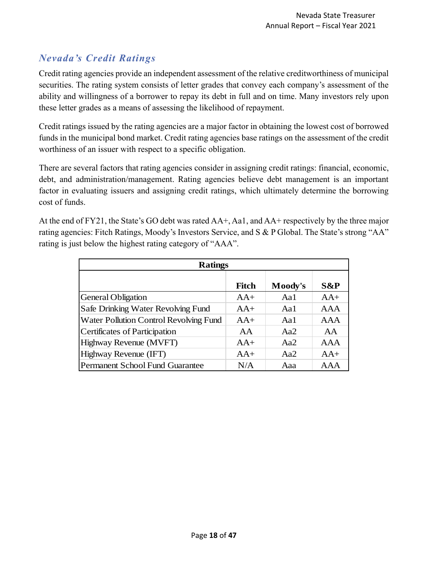# *Nevada's Credit Ratings*

Credit rating agencies provide an independent assessment of the relative creditworthiness of municipal securities. The rating system consists of letter grades that convey each company's assessment of the ability and willingness of a borrower to repay its debt in full and on time. Many investors rely upon these letter grades as a means of assessing the likelihood of repayment.

Credit ratings issued by the rating agencies are a major factor in obtaining the lowest cost of borrowed funds in the municipal bond market. Credit rating agencies base ratings on the assessment of the credit worthiness of an issuer with respect to a specific obligation.

There are several factors that rating agencies consider in assigning credit ratings: financial, economic, debt, and administration/management. Rating agencies believe debt management is an important factor in evaluating issuers and assigning credit ratings, which ultimately determine the borrowing cost of funds.

At the end of FY21, the State's GO debt was rated AA+, Aa1, and AA+ respectively by the three major rating agencies: Fitch Ratings, Moody's Investors Service, and S & P Global. The State's strong "AA" rating is just below the highest rating category of "AAA".

| <b>Ratings</b>                         |              |         |            |  |  |  |  |
|----------------------------------------|--------------|---------|------------|--|--|--|--|
|                                        | <b>Fitch</b> | Moody's | S&P        |  |  |  |  |
| <b>General Obligation</b>              | $AA+$        | Aa1     | $AA+$      |  |  |  |  |
| Safe Drinking Water Revolving Fund     | $AA+$        | Aa1     | AAA        |  |  |  |  |
| Water Pollution Control Revolving Fund | $AA+$        | Aa1     | <b>AAA</b> |  |  |  |  |
| Certificates of Participation          | AA           | Aa2     | AA         |  |  |  |  |
| Highway Revenue (MVFT)                 | $AA+$        | Aa2     | <b>AAA</b> |  |  |  |  |
| Highway Revenue (IFT)                  | $AA+$        | Aa2     | $AA+$      |  |  |  |  |
| Permanent School Fund Guarantee        | N/A          | Aaa     | AAA        |  |  |  |  |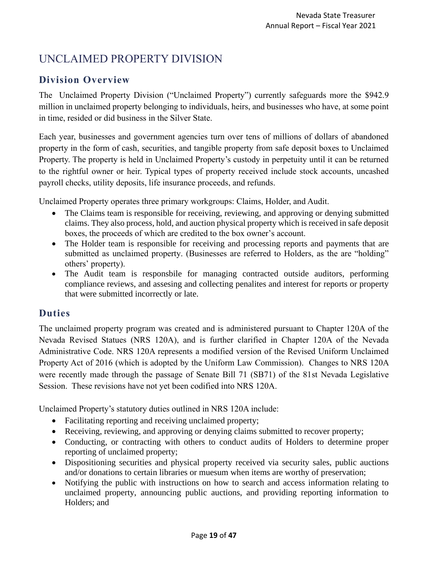# <span id="page-18-0"></span>UNCLAIMED PROPERTY DIVISION

# <span id="page-18-1"></span>**Division Overview**

The Unclaimed Property Division ("Unclaimed Property") currently safeguards more the \$942.9 million in unclaimed property belonging to individuals, heirs, and businesses who have, at some point in time, resided or did business in the Silver State.

Each year, businesses and government agencies turn over tens of millions of dollars of abandoned property in the form of cash, securities, and tangible property from safe deposit boxes to Unclaimed Property. The property is held in Unclaimed Property's custody in perpetuity until it can be returned to the rightful owner or heir. Typical types of property received include stock accounts, uncashed payroll checks, utility deposits, life insurance proceeds, and refunds.

Unclaimed Property operates three primary workgroups: Claims, Holder, and Audit.

- The Claims team is responsible for receiving, reviewing, and approving or denying submitted claims. They also process, hold, and auction physical property which is received in safe deposit boxes, the proceeds of which are credited to the box owner's account.
- The Holder team is responsible for receiving and processing reports and payments that are submitted as unclaimed property. (Businesses are referred to Holders, as the are "holding" others' property).
- The Audit team is responsbile for managing contracted outside auditors, performing compliance reviews, and assesing and collecting penalites and interest for reports or property that were submitted incorrectly or late.

#### <span id="page-18-2"></span>**Duties**

The unclaimed property program was created and is administered pursuant to Chapter 120A of the Nevada Revised Statues (NRS 120A), and is further clarified in Chapter 120A of the Nevada Administrative Code. NRS 120A represents a modified version of the Revised Uniform Unclaimed Property Act of 2016 (which is adopted by the Uniform Law Commission). Changes to NRS 120A were recently made through the passage of Senate Bill 71 (SB71) of the 81st Nevada Legislative Session. These revisions have not yet been codified into NRS 120A.

Unclaimed Property's statutory duties outlined in NRS 120A include:

- Facilitating reporting and receiving unclaimed property;
- Receiving, reviewing, and approving or denying claims submitted to recover property;
- Conducting, or contracting with others to conduct audits of Holders to determine proper reporting of unclaimed property;
- Dispositioning securities and physical property received via security sales, public auctions and/or donations to certain libraries or muesum when items are worthy of preservation;
- Notifying the public with instructions on how to search and access information relating to unclaimed property, announcing public auctions, and providing reporting information to Holders; and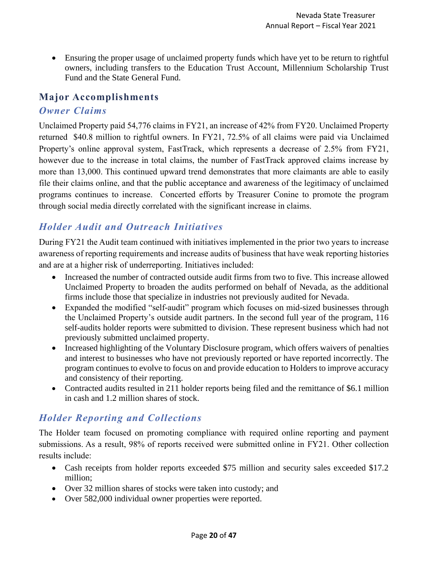• Ensuring the proper usage of unclaimed property funds which have yet to be return to rightful owners, including transfers to the Education Trust Account, Millennium Scholarship Trust Fund and the State General Fund.

#### <span id="page-19-0"></span>**Major Accomplishments**

#### *Owner Claims*

Unclaimed Property paid 54,776 claims in FY21, an increase of 42% from FY20. Unclaimed Property returned \$40.8 million to rightful owners. In FY21, 72.5% of all claims were paid via Unclaimed Property's online approval system, FastTrack, which represents a decrease of 2.5% from FY21, however due to the increase in total claims, the number of FastTrack approved claims increase by more than 13,000. This continued upward trend demonstrates that more claimants are able to easily file their claims online, and that the public acceptance and awareness of the legitimacy of unclaimed programs continues to increase. Concerted efforts by Treasurer Conine to promote the program through social media directly correlated with the significant increase in claims.

# *Holder Audit and Outreach Initiatives*

During FY21 the Audit team continued with initiatives implemented in the prior two years to increase awareness of reporting requirements and increase audits of business that have weak reporting histories and are at a higher risk of underreporting. Initiatives included:

- Increased the number of contracted outside audit firms from two to five. This increase allowed Unclaimed Property to broaden the audits performed on behalf of Nevada, as the additional firms include those that specialize in industries not previously audited for Nevada.
- Expanded the modified "self-audit" program which focuses on mid-sized businesses through the Unclaimed Property's outside audit partners. In the second full year of the program, 116 self-audits holder reports were submitted to division. These represent business which had not previously submitted unclaimed property.
- Increased highlighting of the Voluntary Disclosure program, which offers waivers of penalties and interest to businesses who have not previously reported or have reported incorrectly. The program continues to evolve to focus on and provide education to Holders to improve accuracy and consistency of their reporting.
- Contracted audits resulted in 211 holder reports being filed and the remittance of \$6.1 million in cash and 1.2 million shares of stock.

# *Holder Reporting and Collections*

The Holder team focused on promoting compliance with required online reporting and payment submissions. As a result, 98% of reports received were submitted online in FY21. Other collection results include:

- Cash receipts from holder reports exceeded \$75 million and security sales exceeded \$17.2 million;
- Over 32 million shares of stocks were taken into custody; and
- Over 582,000 individual owner properties were reported.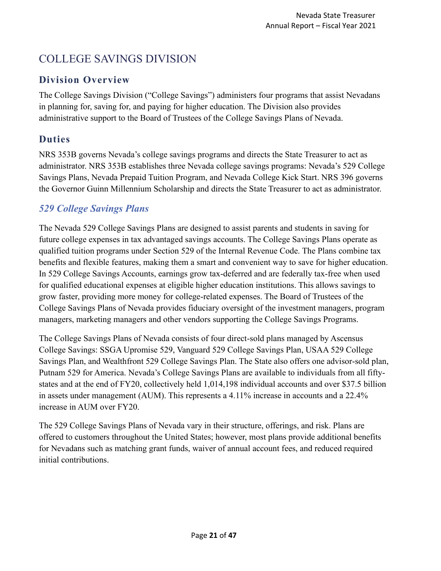# <span id="page-20-0"></span>COLLEGE SAVINGS DIVISION

# <span id="page-20-1"></span>**Division Overview**

The College Savings Division ("College Savings") administers four programs that assist Nevadans in planning for, saving for, and paying for higher education. The Division also provides administrative support to the Board of Trustees of the College Savings Plans of Nevada.

# <span id="page-20-2"></span>**Duties**

NRS 353B governs Nevada's college savings programs and directs the State Treasurer to act as administrator. NRS 353B establishes three Nevada college savings programs: Nevada's 529 College Savings Plans, Nevada Prepaid Tuition Program, and Nevada College Kick Start. NRS 396 governs the Governor Guinn Millennium Scholarship and directs the State Treasurer to act as administrator.

# *529 College Savings Plans*

The Nevada 529 College Savings Plans are designed to assist parents and students in saving for future college expenses in tax advantaged savings accounts. The College Savings Plans operate as qualified tuition programs under Section 529 of the Internal Revenue Code. The Plans combine tax benefits and flexible features, making them a smart and convenient way to save for higher education. In 529 College Savings Accounts, earnings grow tax-deferred and are federally tax-free when used for qualified educational expenses at eligible higher education institutions. This allows savings to grow faster, providing more money for college-related expenses. The Board of Trustees of the College Savings Plans of Nevada provides fiduciary oversight of the investment managers, program managers, marketing managers and other vendors supporting the College Savings Programs.

The College Savings Plans of Nevada consists of four direct-sold plans managed by Ascensus College Savings: SSGA Upromise 529, Vanguard 529 College Savings Plan, USAA 529 College Savings Plan, and Wealthfront 529 College Savings Plan. The State also offers one advisor-sold plan, Putnam 529 for America. Nevada's College Savings Plans are available to individuals from all fiftystates and at the end of FY20, collectively held 1,014,198 individual accounts and over \$37.5 billion in assets under management (AUM). This represents a 4.11% increase in accounts and a 22.4% increase in AUM over FY20.

The 529 College Savings Plans of Nevada vary in their structure, offerings, and risk. Plans are offered to customers throughout the United States; however, most plans provide additional benefits for Nevadans such as matching grant funds, waiver of annual account fees, and reduced required initial contributions.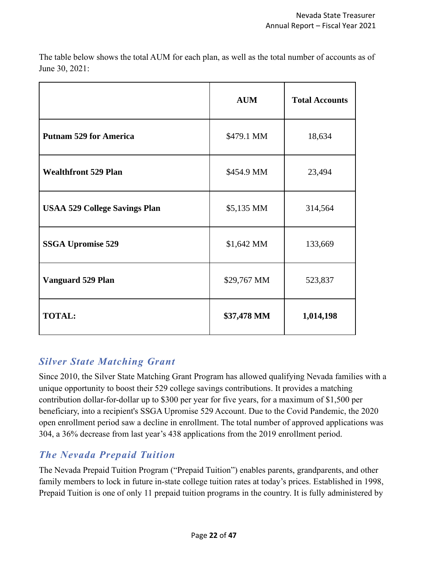The table below shows the total AUM for each plan, as well as the total number of accounts as of June 30, 2021:

|                                      | <b>AUM</b>  | <b>Total Accounts</b> |
|--------------------------------------|-------------|-----------------------|
| <b>Putnam 529 for America</b>        | \$479.1 MM  | 18,634                |
| <b>Wealthfront 529 Plan</b>          | \$454.9 MM  | 23,494                |
| <b>USAA 529 College Savings Plan</b> | \$5,135 MM  | 314,564               |
| <b>SSGA Upromise 529</b>             | \$1,642 MM  | 133,669               |
| <b>Vanguard 529 Plan</b>             | \$29,767 MM | 523,837               |
| <b>TOTAL:</b>                        | \$37,478 MM | 1,014,198             |

# *Silver State Matching Grant*

Since 2010, the Silver State Matching Grant Program has allowed qualifying Nevada families with a unique opportunity to boost their 529 college savings contributions. It provides a matching contribution dollar-for-dollar up to \$300 per year for five years, for a maximum of \$1,500 per beneficiary, into a recipient's SSGA Upromise 529 Account. Due to the Covid Pandemic, the 2020 open enrollment period saw a decline in enrollment. The total number of approved applications was 304, a 36% decrease from last year's 438 applications from the 2019 enrollment period.

# *The Nevada Prepaid Tuition*

The Nevada Prepaid Tuition Program ("Prepaid Tuition") enables parents, grandparents, and other family members to lock in future in-state college tuition rates at today's prices. Established in 1998, Prepaid Tuition is one of only 11 prepaid tuition programs in the country. It is fully administered by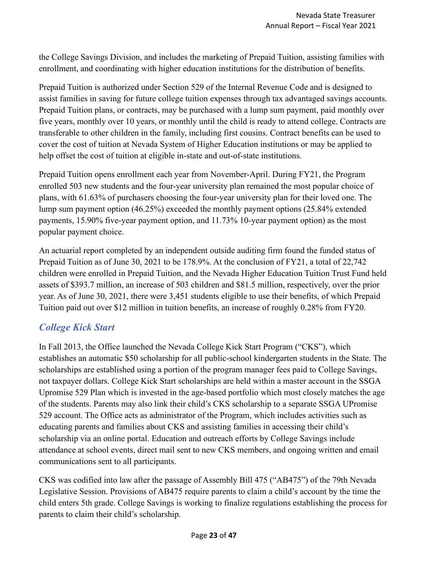the College Savings Division, and includes the marketing of Prepaid Tuition, assisting families with enrollment, and coordinating with higher education institutions for the distribution of benefits.

Prepaid Tuition is authorized under Section 529 of the Internal Revenue Code and is designed to assist families in saving for future college tuition expenses through tax advantaged savings accounts. Prepaid Tuition plans, or contracts, may be purchased with a lump sum payment, paid monthly over five years, monthly over 10 years, or monthly until the child is ready to attend college. Contracts are transferable to other children in the family, including first cousins. Contract benefits can be used to cover the cost of tuition at Nevada System of Higher Education institutions or may be applied to help offset the cost of tuition at eligible in-state and out-of-state institutions.

Prepaid Tuition opens enrollment each year from November-April. During FY21, the Program enrolled 503 new students and the four-year university plan remained the most popular choice of plans, with 61.63% of purchasers choosing the four-year university plan for their loved one. The lump sum payment option (46.25%) exceeded the monthly payment options (25.84% extended payments, 15.90% five-year payment option, and 11.73% 10-year payment option) as the most popular payment choice.

An actuarial report completed by an independent outside auditing firm found the funded status of Prepaid Tuition as of June 30, 2021 to be 178.9%. At the conclusion of FY21, a total of 22,742 children were enrolled in Prepaid Tuition, and the Nevada Higher Education Tuition Trust Fund held assets of \$393.7 million, an increase of 503 children and \$81.5 million, respectively, over the prior year. As of June 30, 2021, there were 3,451 students eligible to use their benefits, of which Prepaid Tuition paid out over \$12 million in tuition benefits, an increase of roughly 0.28% from FY20.

# *College Kick Start*

In Fall 2013, the Office launched the Nevada College Kick Start Program ("CKS"), which establishes an automatic \$50 scholarship for all public-school kindergarten students in the State. The scholarships are established using a portion of the program manager fees paid to College Savings, not taxpayer dollars. College Kick Start scholarships are held within a master account in the SSGA Upromise 529 Plan which is invested in the age-based portfolio which most closely matches the age of the students. Parents may also link their child's CKS scholarship to a separate SSGA UPromise 529 account. The Office acts as administrator of the Program, which includes activities such as educating parents and families about CKS and assisting families in accessing their child's scholarship via an online portal. Education and outreach efforts by College Savings include attendance at school events, direct mail sent to new CKS members, and ongoing written and email communications sent to all participants.

CKS was codified into law after the passage of Assembly Bill 475 ("AB475") of the 79th Nevada Legislative Session. Provisions of AB475 require parents to claim a child's account by the time the child enters 5th grade. College Savings is working to finalize regulations establishing the process for parents to claim their child's scholarship.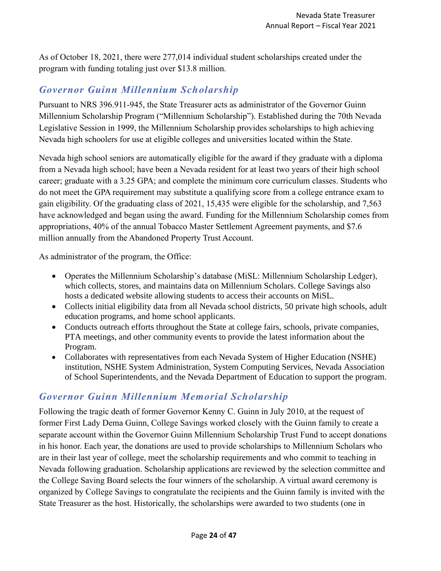As of October 18, 2021, there were 277,014 individual student scholarships created under the program with funding totaling just over \$13.8 million.

# *Governor Guinn Millennium Scholarship*

Pursuant to NRS 396.911-945, the State Treasurer acts as administrator of the Governor Guinn Millennium Scholarship Program ("Millennium Scholarship"). Established during the 70th Nevada Legislative Session in 1999, the Millennium Scholarship provides scholarships to high achieving Nevada high schoolers for use at eligible colleges and universities located within the State.

Nevada high school seniors are automatically eligible for the award if they graduate with a diploma from a Nevada high school; have been a Nevada resident for at least two years of their high school career; graduate with a 3.25 GPA; and complete the minimum core curriculum classes. Students who do not meet the GPA requirement may substitute a qualifying score from a college entrance exam to gain eligibility. Of the graduating class of 2021, 15,435 were eligible for the scholarship, and 7,563 have acknowledged and began using the award. Funding for the Millennium Scholarship comes from appropriations, 40% of the annual Tobacco Master Settlement Agreement payments, and \$7.6 million annually from the Abandoned Property Trust Account.

As administrator of the program, the Office:

- Operates the Millennium Scholarship's database (MiSL: Millennium Scholarship Ledger), which collects, stores, and maintains data on Millennium Scholars. College Savings also hosts a dedicated website allowing students to access their accounts on MiSL.
- Collects initial eligibility data from all Nevada school districts, 50 private high schools, adult education programs, and home school applicants.
- Conducts outreach efforts throughout the State at college fairs, schools, private companies, PTA meetings, and other community events to provide the latest information about the Program.
- Collaborates with representatives from each Nevada System of Higher Education (NSHE) institution, NSHE System Administration, System Computing Services, Nevada Association of School Superintendents, and the Nevada Department of Education to support the program.

# *Governor Guinn Millennium Memorial Scholarship*

Following the tragic death of former Governor Kenny C. Guinn in July 2010, at the request of former First Lady Dema Guinn, College Savings worked closely with the Guinn family to create a separate account within the Governor Guinn Millennium Scholarship Trust Fund to accept donations in his honor. Each year, the donations are used to provide scholarships to Millennium Scholars who are in their last year of college, meet the scholarship requirements and who commit to teaching in Nevada following graduation. Scholarship applications are reviewed by the selection committee and the College Saving Board selects the four winners of the scholarship. A virtual award ceremony is organized by College Savings to congratulate the recipients and the Guinn family is invited with the State Treasurer as the host. Historically, the scholarships were awarded to two students (one in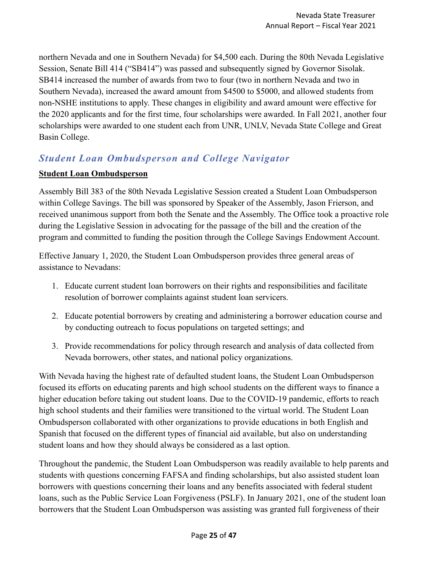northern Nevada and one in Southern Nevada) for \$4,500 each. During the 80th Nevada Legislative Session, Senate Bill 414 ("SB414") was passed and subsequently signed by Governor Sisolak. SB414 increased the number of awards from two to four (two in northern Nevada and two in Southern Nevada), increased the award amount from \$4500 to \$5000, and allowed students from non-NSHE institutions to apply. These changes in eligibility and award amount were effective for the 2020 applicants and for the first time, four scholarships were awarded. In Fall 2021, another four scholarships were awarded to one student each from UNR, UNLV, Nevada State College and Great Basin College.

# *Student Loan Ombudsperson and College Navigator*

#### **Student Loan Ombudsperson**

Assembly Bill 383 of the 80th Nevada Legislative Session created a Student Loan Ombudsperson within College Savings. The bill was sponsored by Speaker of the Assembly, Jason Frierson, and received unanimous support from both the Senate and the Assembly. The Office took a proactive role during the Legislative Session in advocating for the passage of the bill and the creation of the program and committed to funding the position through the College Savings Endowment Account.

Effective January 1, 2020, the Student Loan Ombudsperson provides three general areas of assistance to Nevadans:

- 1. Educate current student loan borrowers on their rights and responsibilities and facilitate resolution of borrower complaints against student loan servicers.
- 2. Educate potential borrowers by creating and administering a borrower education course and by conducting outreach to focus populations on targeted settings; and
- 3. Provide recommendations for policy through research and analysis of data collected from Nevada borrowers, other states, and national policy organizations.

With Nevada having the highest rate of defaulted student loans, the Student Loan Ombudsperson focused its efforts on educating parents and high school students on the different ways to finance a higher education before taking out student loans. Due to the COVID-19 pandemic, efforts to reach high school students and their families were transitioned to the virtual world. The Student Loan Ombudsperson collaborated with other organizations to provide educations in both English and Spanish that focused on the different types of financial aid available, but also on understanding student loans and how they should always be considered as a last option.

Throughout the pandemic, the Student Loan Ombudsperson was readily available to help parents and students with questions concerning FAFSA and finding scholarships, but also assisted student loan borrowers with questions concerning their loans and any benefits associated with federal student loans, such as the Public Service Loan Forgiveness (PSLF). In January 2021, one of the student loan borrowers that the Student Loan Ombudsperson was assisting was granted full forgiveness of their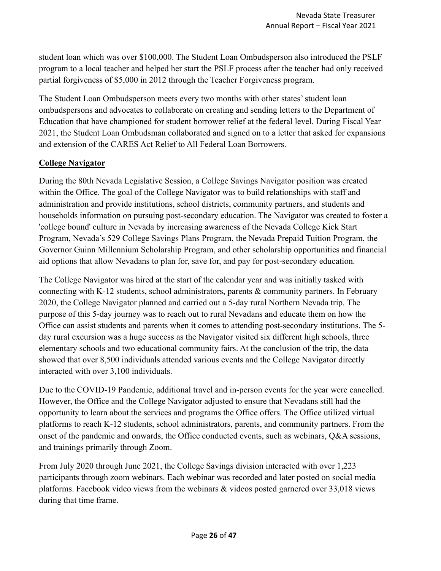student loan which was over \$100,000. The Student Loan Ombudsperson also introduced the PSLF program to a local teacher and helped her start the PSLF process after the teacher had only received partial forgiveness of \$5,000 in 2012 through the Teacher Forgiveness program.

The Student Loan Ombudsperson meets every two months with other states' student loan ombudspersons and advocates to collaborate on creating and sending letters to the Department of Education that have championed for student borrower relief at the federal level. During Fiscal Year 2021, the Student Loan Ombudsman collaborated and signed on to a letter that asked for expansions and extension of the CARES Act Relief to All Federal Loan Borrowers.

#### **College Navigator**

During the 80th Nevada Legislative Session, a College Savings Navigator position was created within the Office. The goal of the College Navigator was to build relationships with staff and administration and provide institutions, school districts, community partners, and students and households information on pursuing post-secondary education. The Navigator was created to foster a 'college bound' culture in Nevada by increasing awareness of the Nevada College Kick Start Program, Nevada's 529 College Savings Plans Program, the Nevada Prepaid Tuition Program, the Governor Guinn Millennium Scholarship Program, and other scholarship opportunities and financial aid options that allow Nevadans to plan for, save for, and pay for post-secondary education.

The College Navigator was hired at the start of the calendar year and was initially tasked with connecting with K-12 students, school administrators, parents & community partners. In February 2020, the College Navigator planned and carried out a 5-day rural Northern Nevada trip. The purpose of this 5-day journey was to reach out to rural Nevadans and educate them on how the Office can assist students and parents when it comes to attending post-secondary institutions. The 5 day rural excursion was a huge success as the Navigator visited six different high schools, three elementary schools and two educational community fairs. At the conclusion of the trip, the data showed that over 8,500 individuals attended various events and the College Navigator directly interacted with over 3,100 individuals.

Due to the COVID-19 Pandemic, additional travel and in-person events for the year were cancelled. However, the Office and the College Navigator adjusted to ensure that Nevadans still had the opportunity to learn about the services and programs the Office offers. The Office utilized virtual platforms to reach K-12 students, school administrators, parents, and community partners. From the onset of the pandemic and onwards, the Office conducted events, such as webinars, Q&A sessions, and trainings primarily through Zoom.

From July 2020 through June 2021, the College Savings division interacted with over 1,223 participants through zoom webinars. Each webinar was recorded and later posted on social media platforms. Facebook video views from the webinars & videos posted garnered over 33,018 views during that time frame.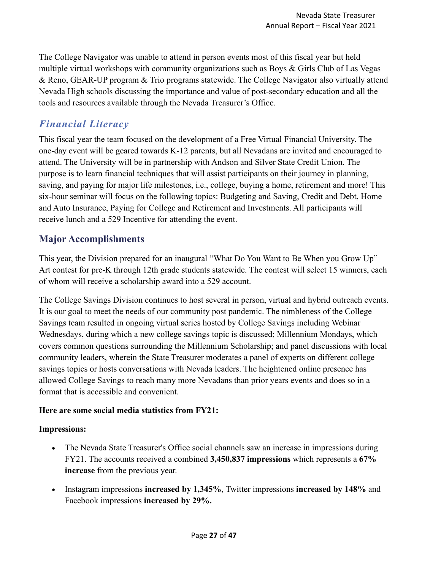The College Navigator was unable to attend in person events most of this fiscal year but held multiple virtual workshops with community organizations such as Boys & Girls Club of Las Vegas & Reno, GEAR-UP program & Trio programs statewide. The College Navigator also virtually attend Nevada High schools discussing the importance and value of post-secondary education and all the tools and resources available through the Nevada Treasurer's Office.

# <span id="page-26-0"></span>*Financial Literacy*

This fiscal year the team focused on the development of a Free Virtual Financial University. The one-day event will be geared towards K-12 parents, but all Nevadans are invited and encouraged to attend. The University will be in partnership with Andson and Silver State Credit Union. The purpose is to learn financial techniques that will assist participants on their journey in planning, saving, and paying for major life milestones, i.e., college, buying a home, retirement and more! This six-hour seminar will focus on the following topics: Budgeting and Saving, Credit and Debt, Home and Auto Insurance, Paying for College and Retirement and Investments. All participants will receive lunch and a 529 Incentive for attending the event.

# **Major Accomplishments**

This year, the Division prepared for an inaugural "What Do You Want to Be When you Grow Up" Art contest for pre-K through 12th grade students statewide. The contest will select 15 winners, each of whom will receive a scholarship award into a 529 account.

The College Savings Division continues to host several in person, virtual and hybrid outreach events. It is our goal to meet the needs of our community post pandemic. The nimbleness of the College Savings team resulted in ongoing virtual series hosted by College Savings including Webinar Wednesdays, during which a new college savings topic is discussed; Millennium Mondays, which covers common questions surrounding the Millennium Scholarship; and panel discussions with local community leaders, wherein the State Treasurer moderates a panel of experts on different college savings topics or hosts conversations with Nevada leaders. The heightened online presence has allowed College Savings to reach many more Nevadans than prior years events and does so in a format that is accessible and convenient.

#### **Here are some social media statistics from FY21:**

#### **Impressions:**

- The Nevada State Treasurer's Office social channels saw an increase in impressions during FY21. The accounts received a combined **3,450,837 impressions** which represents a **67% increase** from the previous year.
- Instagram impressions **increased by 1,345%**, Twitter impressions **increased by 148%** and Facebook impressions **increased by 29%.**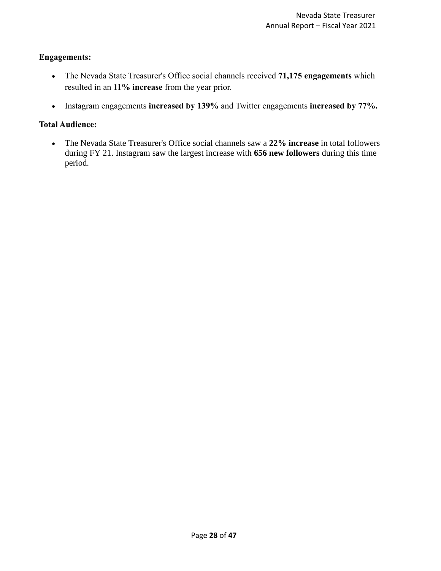#### **Engagements:**

- The Nevada State Treasurer's Office social channels received **71,175 engagements** which resulted in an **11% increase** from the year prior.
- Instagram engagements **increased by 139%** and Twitter engagements **increased by 77%.**

#### **Total Audience:**

• The Nevada State Treasurer's Office social channels saw a **22% increase** in total followers during FY 21. Instagram saw the largest increase with **656 new followers** during this time period.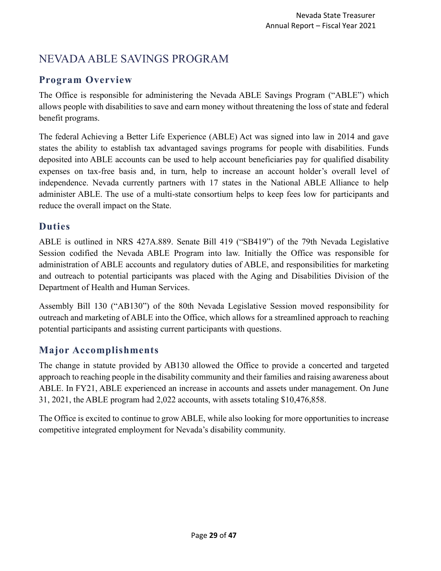# <span id="page-28-0"></span>NEVADA ABLE SAVINGS PROGRAM

# <span id="page-28-1"></span>**Program Overview**

The Office is responsible for administering the Nevada ABLE Savings Program ("ABLE") which allows people with disabilities to save and earn money without threatening the loss of state and federal benefit programs.

The federal Achieving a Better Life Experience (ABLE) Act was signed into law in 2014 and gave states the ability to establish tax advantaged savings programs for people with disabilities. Funds deposited into ABLE accounts can be used to help account beneficiaries pay for qualified disability expenses on tax-free basis and, in turn, help to increase an account holder's overall level of independence. Nevada currently partners with 17 states in the National ABLE Alliance to help administer ABLE. The use of a multi-state consortium helps to keep fees low for participants and reduce the overall impact on the State.

# <span id="page-28-2"></span>**Duties**

ABLE is outlined in NRS 427A.889. Senate Bill 419 ("SB419") of the 79th Nevada Legislative Session codified the Nevada ABLE Program into law. Initially the Office was responsible for administration of ABLE accounts and regulatory duties of ABLE, and responsibilities for marketing and outreach to potential participants was placed with the Aging and Disabilities Division of the Department of Health and Human Services.

Assembly Bill 130 ("AB130") of the 80th Nevada Legislative Session moved responsibility for outreach and marketing of ABLE into the Office, which allows for a streamlined approach to reaching potential participants and assisting current participants with questions.

# <span id="page-28-3"></span>**Major Accomplishments**

The change in statute provided by AB130 allowed the Office to provide a concerted and targeted approach to reaching people in the disability community and their families and raising awareness about ABLE. In FY21, ABLE experienced an increase in accounts and assets under management. On June 31, 2021, the ABLE program had 2,022 accounts, with assets totaling \$10,476,858.

The Office is excited to continue to grow ABLE, while also looking for more opportunities to increase competitive integrated employment for Nevada's disability community.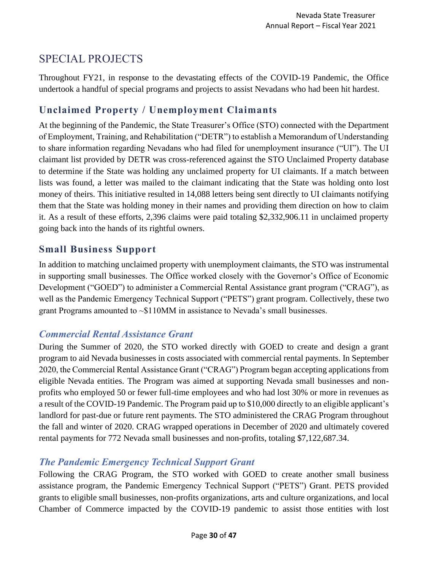# <span id="page-29-0"></span>SPECIAL PROJECTS

Throughout FY21, in response to the devastating effects of the COVID-19 Pandemic, the Office undertook a handful of special programs and projects to assist Nevadans who had been hit hardest.

# **Unclaimed Property / Unemployment Claimants**

At the beginning of the Pandemic, the State Treasurer's Office (STO) connected with the Department of Employment, Training, and Rehabilitation ("DETR") to establish a Memorandum of Understanding to share information regarding Nevadans who had filed for unemployment insurance ("UI"). The UI claimant list provided by DETR was cross-referenced against the STO Unclaimed Property database to determine if the State was holding any unclaimed property for UI claimants. If a match between lists was found, a letter was mailed to the claimant indicating that the State was holding onto lost money of theirs. This initiative resulted in 14,088 letters being sent directly to UI claimants notifying them that the State was holding money in their names and providing them direction on how to claim it. As a result of these efforts, 2,396 claims were paid totaling \$2,332,906.11 in unclaimed property going back into the hands of its rightful owners.

#### **Small Business Support**

In addition to matching unclaimed property with unemployment claimants, the STO was instrumental in supporting small businesses. The Office worked closely with the Governor's Office of Economic Development ("GOED") to administer a Commercial Rental Assistance grant program ("CRAG"), as well as the Pandemic Emergency Technical Support ("PETS") grant program. Collectively, these two grant Programs amounted to ~\$110MM in assistance to Nevada's small businesses.

#### *Commercial Rental Assistance Grant*

During the Summer of 2020, the STO worked directly with GOED to create and design a grant program to aid Nevada businesses in costs associated with commercial rental payments. In September 2020, the Commercial Rental Assistance Grant ("CRAG") Program began accepting applications from eligible Nevada entities. The Program was aimed at supporting Nevada small businesses and nonprofits who employed 50 or fewer full-time employees and who had lost 30% or more in revenues as a result of the COVID-19 Pandemic. The Program paid up to \$10,000 directly to an eligible applicant's landlord for past-due or future rent payments. The STO administered the CRAG Program throughout the fall and winter of 2020. CRAG wrapped operations in December of 2020 and ultimately covered rental payments for 772 Nevada small businesses and non-profits, totaling \$7,122,687.34.

#### *The Pandemic Emergency Technical Support Grant*

Following the CRAG Program, the STO worked with GOED to create another small business assistance program, the Pandemic Emergency Technical Support ("PETS") Grant. PETS provided grants to eligible small businesses, non-profits organizations, arts and culture organizations, and local Chamber of Commerce impacted by the COVID-19 pandemic to assist those entities with lost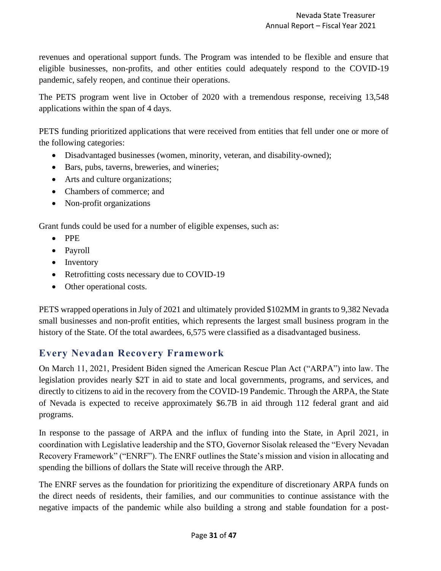revenues and operational support funds. The Program was intended to be flexible and ensure that eligible businesses, non-profits, and other entities could adequately respond to the COVID-19 pandemic, safely reopen, and continue their operations.

The PETS program went live in October of 2020 with a tremendous response, receiving 13,548 applications within the span of 4 days.

PETS funding prioritized applications that were received from entities that fell under one or more of the following categories:

- Disadvantaged businesses (women, minority, veteran, and disability-owned);
- Bars, pubs, taverns, breweries, and wineries;
- Arts and culture organizations;
- Chambers of commerce; and
- Non-profit organizations

Grant funds could be used for a number of eligible expenses, such as:

- PPE
- Payroll
- Inventory
- Retrofitting costs necessary due to COVID-19
- Other operational costs.

PETS wrapped operations in July of 2021 and ultimately provided \$102MM in grants to 9,382 Nevada small businesses and non-profit entities, which represents the largest small business program in the history of the State. Of the total awardees, 6,575 were classified as a disadvantaged business.

# **Every Nevadan Recovery Framework**

On March 11, 2021, President Biden signed the American Rescue Plan Act ("ARPA") into law. The legislation provides nearly \$2T in aid to state and local governments, programs, and services, and directly to citizens to aid in the recovery from the COVID-19 Pandemic. Through the ARPA, the State of Nevada is expected to receive approximately \$6.7B in aid through 112 federal grant and aid programs.

In response to the passage of ARPA and the influx of funding into the State, in April 2021, in coordination with Legislative leadership and the STO, Governor Sisolak released the "Every Nevadan Recovery Framework" ("ENRF"). The ENRF outlines the State's mission and vision in allocating and spending the billions of dollars the State will receive through the ARP.

The ENRF serves as the foundation for prioritizing the expenditure of discretionary ARPA funds on the direct needs of residents, their families, and our communities to continue assistance with the negative impacts of the pandemic while also building a strong and stable foundation for a post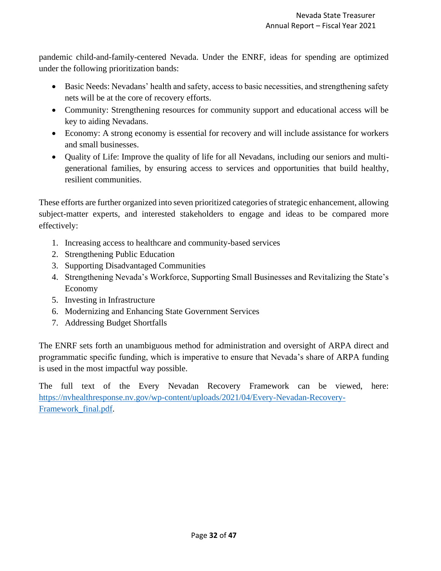pandemic child-and-family-centered Nevada. Under the ENRF, ideas for spending are optimized under the following prioritization bands:

- Basic Needs: Nevadans' health and safety, access to basic necessities, and strengthening safety nets will be at the core of recovery efforts.
- Community: Strengthening resources for community support and educational access will be key to aiding Nevadans.
- Economy: A strong economy is essential for recovery and will include assistance for workers and small businesses.
- Quality of Life: Improve the quality of life for all Nevadans, including our seniors and multigenerational families, by ensuring access to services and opportunities that build healthy, resilient communities.

These efforts are further organized into seven prioritized categories of strategic enhancement, allowing subject-matter experts, and interested stakeholders to engage and ideas to be compared more effectively:

- 1. Increasing access to healthcare and community-based services
- 2. Strengthening Public Education
- 3. Supporting Disadvantaged Communities
- 4. Strengthening Nevada's Workforce, Supporting Small Businesses and Revitalizing the State's Economy
- 5. Investing in Infrastructure
- 6. Modernizing and Enhancing State Government Services
- 7. Addressing Budget Shortfalls

The ENRF sets forth an unambiguous method for administration and oversight of ARPA direct and programmatic specific funding, which is imperative to ensure that Nevada's share of ARPA funding is used in the most impactful way possible.

The full text of the Every Nevadan Recovery Framework can be viewed, here: [https://nvhealthresponse.nv.gov/wp-content/uploads/2021/04/Every-Nevadan-Recovery-](https://nvhealthresponse.nv.gov/wp-content/uploads/2021/04/Every-Nevadan-Recovery-Framework_final.pdf)[Framework\\_final.pdf.](https://nvhealthresponse.nv.gov/wp-content/uploads/2021/04/Every-Nevadan-Recovery-Framework_final.pdf)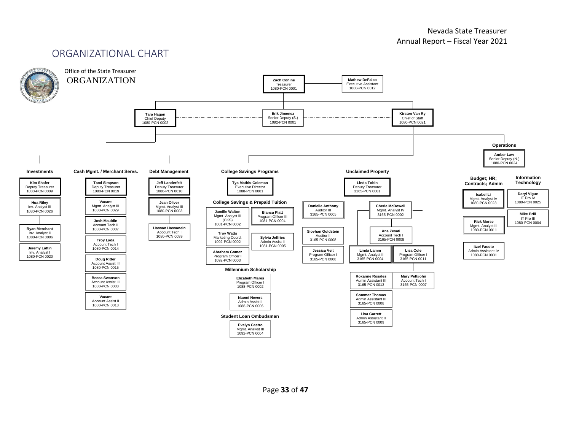# ORGANIZATIONAL CHART

<span id="page-32-0"></span>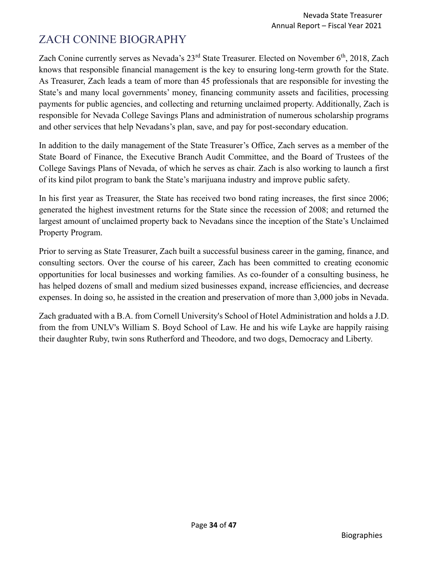# <span id="page-33-0"></span>ZACH CONINE BIOGRAPHY

Zach Conine currently serves as Nevada's 23<sup>rd</sup> State Treasurer. Elected on November 6<sup>th</sup>, 2018, Zach knows that responsible financial management is the key to ensuring long-term growth for the State. As Treasurer, Zach leads a team of more than 45 professionals that are responsible for investing the State's and many local governments' money, financing community assets and facilities, processing payments for public agencies, and collecting and returning unclaimed property. Additionally, Zach is responsible for Nevada College Savings Plans and administration of numerous scholarship programs and other services that help Nevadans's plan, save, and pay for post-secondary education.

In addition to the daily management of the State Treasurer's Office, Zach serves as a member of the State Board of Finance, the Executive Branch Audit Committee, and the Board of Trustees of the College Savings Plans of Nevada, of which he serves as chair. Zach is also working to launch a first of its kind pilot program to bank the State's marijuana industry and improve public safety.

In his first year as Treasurer, the State has received two bond rating increases, the first since 2006; generated the highest investment returns for the State since the recession of 2008; and returned the largest amount of unclaimed property back to Nevadans since the inception of the State's Unclaimed Property Program.

Prior to serving as State Treasurer, Zach built a successful business career in the gaming, finance, and consulting sectors. Over the course of his career, Zach has been committed to creating economic opportunities for local businesses and working families. As co-founder of a consulting business, he has helped dozens of small and medium sized businesses expand, increase efficiencies, and decrease expenses. In doing so, he assisted in the creation and preservation of more than 3,000 jobs in Nevada.

Zach graduated with a B.A. from Cornell University's School of Hotel Administration and holds a J.D. from the from UNLV's William S. Boyd School of Law. He and his wife Layke are happily raising their daughter Ruby, twin sons Rutherford and Theodore, and two dogs, Democracy and Liberty.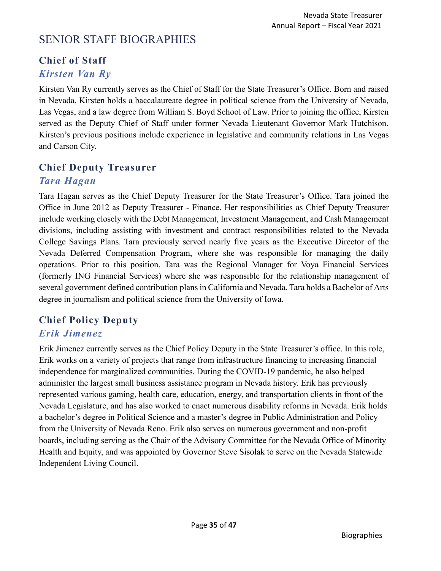# <span id="page-34-0"></span>SENIOR STAFF BIOGRAPHIES

# **Chief of Staff**

# *Kirsten Van Ry*

Kirsten Van Ry currently serves as the Chief of Staff for the State Treasurer's Office. Born and raised in Nevada, Kirsten holds a baccalaureate degree in political science from the University of Nevada, Las Vegas, and a law degree from William S. Boyd School of Law. Prior to joining the office, Kirsten served as the Deputy Chief of Staff under former Nevada Lieutenant Governor Mark Hutchison. Kirsten's previous positions include experience in legislative and community relations in Las Vegas and Carson City.

#### **Chief Deputy Treasurer**

#### *Tara Hagan*

Tara Hagan serves as the Chief Deputy Treasurer for the State Treasurer's Office. Tara joined the Office in June 2012 as Deputy Treasurer - Finance. Her responsibilities as Chief Deputy Treasurer include working closely with the Debt Management, Investment Management, and Cash Management divisions, including assisting with investment and contract responsibilities related to the Nevada College Savings Plans. Tara previously served nearly five years as the Executive Director of the Nevada Deferred Compensation Program, where she was responsible for managing the daily operations. Prior to this position, Tara was the Regional Manager for Voya Financial Services (formerly ING Financial Services) where she was responsible for the relationship management of several government defined contribution plans in California and Nevada. Tara holds a Bachelor of Arts degree in journalism and political science from the University of Iowa.

# **Chief Policy Deputy**

# *Erik Jimenez*

Erik Jimenez currently serves as the Chief Policy Deputy in the State Treasurer's office. In this role, Erik works on a variety of projects that range from infrastructure financing to increasing financial independence for marginalized communities. During the COVID-19 pandemic, he also helped administer the largest small business assistance program in Nevada history. Erik has previously represented various gaming, health care, education, energy, and transportation clients in front of the Nevada Legislature, and has also worked to enact numerous disability reforms in Nevada. Erik holds a bachelor's degree in Political Science and a master's degree in Public Administration and Policy from the University of Nevada Reno. Erik also serves on numerous government and non-profit boards, including serving as the Chair of the Advisory Committee for the Nevada Office of Minority Health and Equity, and was appointed by Governor Steve Sisolak to serve on the Nevada Statewide Independent Living Council.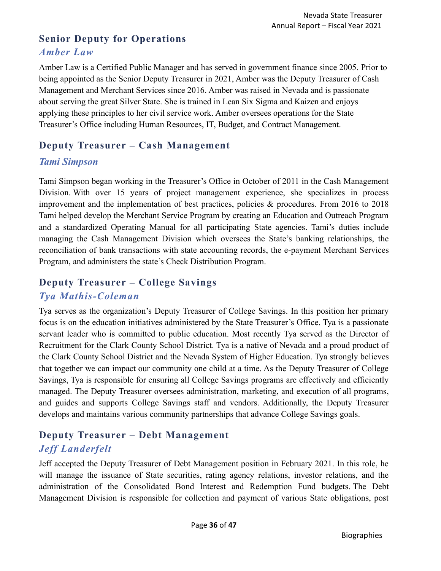# **Senior Deputy for Operations** *Amber Law*

Amber Law is a Certified Public Manager and has served in government finance since 2005. Prior to being appointed as the Senior Deputy Treasurer in 2021, Amber was the Deputy Treasurer of Cash Management and Merchant Services since 2016. Amber was raised in Nevada and is passionate about serving the great Silver State. She is trained in Lean Six Sigma and Kaizen and enjoys applying these principles to her civil service work. Amber oversees operations for the State Treasurer's Office including Human Resources, IT, Budget, and Contract Management.

#### **Deputy Treasurer – Cash Management**

#### *Tami Simpson*

Tami Simpson began working in the Treasurer's Office in October of 2011 in the Cash Management Division. With over 15 years of project management experience, she specializes in process improvement and the implementation of best practices, policies & procedures. From 2016 to 2018 Tami helped develop the Merchant Service Program by creating an Education and Outreach Program and a standardized Operating Manual for all participating State agencies. Tami's duties include managing the Cash Management Division which oversees the State's banking relationships, the reconciliation of bank transactions with state accounting records, the e-payment Merchant Services Program, and administers the state's Check Distribution Program.

# **Deputy Treasurer – College Savings** *Tya Mathis-Coleman*

Tya serves as the organization's Deputy Treasurer of College Savings. In this position her primary focus is on the education initiatives administered by the State Treasurer's Office. Tya is a passionate servant leader who is committed to public education. Most recently Tya served as the Director of Recruitment for the Clark County School District. Tya is a native of Nevada and a proud product of the Clark County School District and the Nevada System of Higher Education. Tya strongly believes that together we can impact our community one child at a time. As the Deputy Treasurer of College Savings, Tya is responsible for ensuring all College Savings programs are effectively and efficiently managed. The Deputy Treasurer oversees administration, marketing, and execution of all programs, and guides and supports College Savings staff and vendors. Additionally, the Deputy Treasurer develops and maintains various community partnerships that advance College Savings goals.

# **Deputy Treasurer – Debt Management** *Jeff Landerfelt*

Jeff accepted the Deputy Treasurer of Debt Management position in February 2021. In this role, he will manage the issuance of State securities, rating agency relations, investor relations, and the administration of the Consolidated Bond Interest and Redemption Fund budgets. The Debt Management Division is responsible for collection and payment of various State obligations, post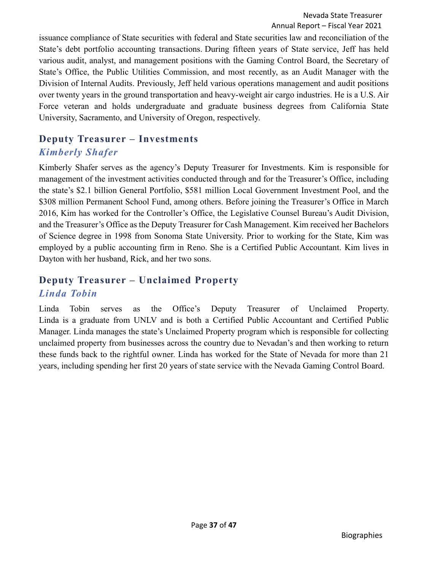issuance compliance of State securities with federal and State securities law and reconciliation of the State's debt portfolio accounting transactions. During fifteen years of State service, Jeff has held various audit, analyst, and management positions with the Gaming Control Board, the Secretary of State's Office, the Public Utilities Commission, and most recently, as an Audit Manager with the Division of Internal Audits. Previously, Jeff held various operations management and audit positions over twenty years in the ground transportation and heavy-weight air cargo industries. He is a U.S. Air Force veteran and holds undergraduate and graduate business degrees from California State University, Sacramento, and University of Oregon, respectively.

#### **Deputy Treasurer – Investments** *Kimberly Shafer*

Kimberly Shafer serves as the agency's Deputy Treasurer for Investments. Kim is responsible for management of the investment activities conducted through and for the Treasurer's Office, including the state's \$2.1 billion General Portfolio, \$581 million Local Government Investment Pool, and the \$308 million Permanent School Fund, among others. Before joining the Treasurer's Office in March 2016, Kim has worked for the Controller's Office, the Legislative Counsel Bureau's Audit Division, and the Treasurer's Office as the Deputy Treasurer for Cash Management. Kim received her Bachelors of Science degree in 1998 from Sonoma State University. Prior to working for the State, Kim was employed by a public accounting firm in Reno. She is a Certified Public Accountant. Kim lives in Dayton with her husband, Rick, and her two sons.

# **Deputy Treasurer – Unclaimed Property** *Linda Tobin*

Linda Tobin serves as the Office's Deputy Treasurer of Unclaimed Property. Linda is a graduate from UNLV and is both a Certified Public Accountant and Certified Public Manager. Linda manages the state's Unclaimed Property program which is responsible for collecting unclaimed property from businesses across the country due to Nevadan's and then working to return these funds back to the rightful owner. Linda has worked for the State of Nevada for more than 21 years, including spending her first 20 years of state service with the Nevada Gaming Control Board.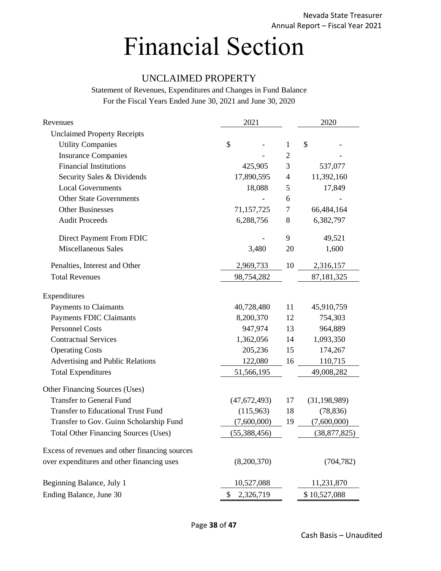# <span id="page-37-0"></span>Financial Section

#### UNCLAIMED PROPERTY

| Revenues                                       | 2021            |        |                | 2020         |                |
|------------------------------------------------|-----------------|--------|----------------|--------------|----------------|
| <b>Unclaimed Property Receipts</b>             |                 |        |                |              |                |
| <b>Utility Companies</b>                       | \$              |        | $\mathbf{1}$   | \$           |                |
| <b>Insurance Companies</b>                     |                 |        | $\overline{2}$ |              |                |
| <b>Financial Institutions</b>                  | 425,905         |        | 3              |              | 537,077        |
| Security Sales & Dividends                     | 17,890,595      |        | $\overline{4}$ |              | 11,392,160     |
| <b>Local Governments</b>                       |                 | 18,088 | 5              |              | 17,849         |
| <b>Other State Governments</b>                 |                 |        | 6              |              |                |
| <b>Other Businesses</b>                        | 71,157,725      |        | 7              |              | 66,484,164     |
| <b>Audit Proceeds</b>                          | 6,288,756       |        | 8              |              | 6,382,797      |
| Direct Payment From FDIC                       |                 |        | 9              |              | 49,521         |
| <b>Miscellaneous Sales</b>                     | 3,480           |        | 20             |              | 1,600          |
| Penalties, Interest and Other                  | 2,969,733       |        | 10             |              | 2,316,157      |
| <b>Total Revenues</b>                          | 98,754,282      |        |                |              | 87,181,325     |
| Expenditures                                   |                 |        |                |              |                |
| Payments to Claimants                          | 40,728,480      |        | 11             |              | 45,910,759     |
| <b>Payments FDIC Claimants</b>                 | 8,200,370       |        | 12             |              | 754,303        |
| <b>Personnel Costs</b>                         | 947,974         |        | 13             |              | 964,889        |
| <b>Contractual Services</b>                    | 1,362,056       |        | 14             |              | 1,093,350      |
| <b>Operating Costs</b>                         | 205,236         |        | 15             |              | 174,267        |
| Advertising and Public Relations               | 122,080         |        | 16             |              | 110,715        |
| <b>Total Expenditures</b>                      | 51,566,195      |        |                |              | 49,008,282     |
| Other Financing Sources (Uses)                 |                 |        |                |              |                |
| <b>Transfer to General Fund</b>                | (47, 672, 493)  |        | 17             |              | (31, 198, 989) |
| <b>Transfer to Educational Trust Fund</b>      | (115,963)       |        | 18             |              | (78, 836)      |
| Transfer to Gov. Guinn Scholarship Fund        | (7,600,000)     |        | 19             |              | (7,600,000)    |
| <b>Total Other Financing Sources (Uses)</b>    | (55, 388, 456)  |        |                |              | (38, 877, 825) |
| Excess of revenues and other financing sources |                 |        |                |              |                |
| over expenditures and other financing uses     | (8,200,370)     |        |                |              | (704, 782)     |
| Beginning Balance, July 1                      | 10,527,088      |        |                |              | 11,231,870     |
| Ending Balance, June 30                        | 2,326,719<br>\$ |        |                | \$10,527,088 |                |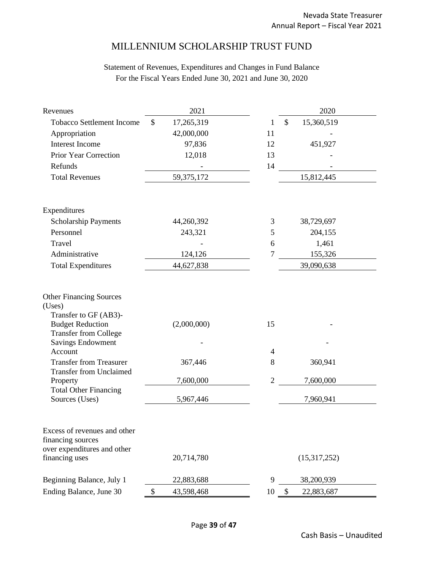#### MILLENNIUM SCHOLARSHIP TRUST FUND

| Revenues                                                                                           | 2021             | 2020                        |
|----------------------------------------------------------------------------------------------------|------------------|-----------------------------|
| <b>Tobacco Settlement Income</b>                                                                   | 17,265,319<br>\$ | 15,360,519<br>\$<br>1       |
| Appropriation                                                                                      | 42,000,000       | 11                          |
| <b>Interest Income</b>                                                                             | 97,836           | 451,927<br>12               |
| Prior Year Correction                                                                              | 12,018           | 13                          |
| Refunds                                                                                            |                  | 14                          |
| <b>Total Revenues</b>                                                                              | 59, 375, 172     | 15,812,445                  |
| Expenditures                                                                                       |                  |                             |
| <b>Scholarship Payments</b>                                                                        | 44,260,392       | 38,729,697<br>3             |
| Personnel                                                                                          | 243,321          | 204,155<br>5                |
| Travel                                                                                             |                  | 1,461<br>6                  |
| Administrative                                                                                     | 124,126          | $\overline{7}$<br>155,326   |
| <b>Total Expenditures</b>                                                                          | 44,627,838       | 39,090,638                  |
| <b>Other Financing Sources</b><br>(Uses)<br>Transfer to GF (AB3)-<br><b>Budget Reduction</b>       | (2,000,000)      | 15                          |
| <b>Transfer from College</b><br><b>Savings Endowment</b>                                           |                  |                             |
| Account                                                                                            |                  | $\overline{4}$              |
| <b>Transfer from Treasurer</b><br><b>Transfer from Unclaimed</b>                                   | 367,446          | 8<br>360,941                |
| Property                                                                                           | 7,600,000        | $\overline{2}$<br>7,600,000 |
| <b>Total Other Financing</b><br>Sources (Uses)                                                     | 5,967,446        | 7,960,941                   |
| Excess of revenues and other<br>financing sources<br>over expenditures and other<br>financing uses | 20,714,780       | (15,317,252)                |
| Beginning Balance, July 1                                                                          | 22,883,688       | 9<br>38,200,939             |
| Ending Balance, June 30                                                                            | \$<br>43,598,468 | \$<br>10<br>22,883,687      |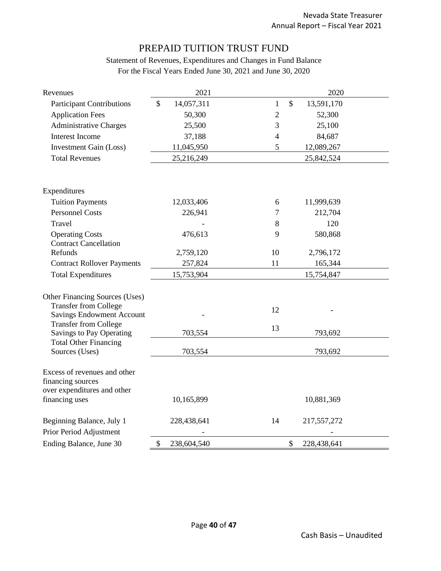#### PREPAID TUITION TRUST FUND

| Revenues                                                                         | 2021              |                               | 2020        |
|----------------------------------------------------------------------------------|-------------------|-------------------------------|-------------|
| <b>Participant Contributions</b>                                                 | \$<br>14,057,311  | $\mathcal{S}$<br>$\mathbf{1}$ | 13,591,170  |
| <b>Application Fees</b>                                                          | 50,300            | $\mathbf{2}$                  | 52,300      |
| <b>Administrative Charges</b>                                                    | 25,500            | 3                             | 25,100      |
| <b>Interest Income</b>                                                           | 37,188            | $\overline{4}$                | 84,687      |
| <b>Investment Gain (Loss)</b>                                                    | 11,045,950        | 5                             | 12,089,267  |
| <b>Total Revenues</b>                                                            | 25,216,249        |                               | 25,842,524  |
|                                                                                  |                   |                               |             |
| Expenditures                                                                     |                   |                               |             |
| <b>Tuition Payments</b>                                                          | 12,033,406        | 6                             | 11,999,639  |
| <b>Personnel Costs</b>                                                           | 226,941           | 7                             | 212,704     |
| Travel                                                                           |                   | 8                             | 120         |
| <b>Operating Costs</b>                                                           | 476,613           | 9                             | 580,868     |
| <b>Contract Cancellation</b>                                                     |                   |                               |             |
| Refunds                                                                          | 2,759,120         | 10                            | 2,796,172   |
| <b>Contract Rollover Payments</b>                                                | 257,824           | 11                            | 165,344     |
| <b>Total Expenditures</b>                                                        | 15,753,904        |                               | 15,754,847  |
|                                                                                  |                   |                               |             |
| Other Financing Sources (Uses)<br><b>Transfer from College</b>                   |                   |                               |             |
| <b>Savings Endowment Account</b>                                                 |                   | 12                            |             |
| <b>Transfer from College</b>                                                     |                   |                               |             |
| Savings to Pay Operating                                                         | 703,554           | 13                            | 793,692     |
| <b>Total Other Financing</b>                                                     |                   |                               |             |
| Sources (Uses)                                                                   | 703,554           |                               | 793,692     |
| Excess of revenues and other<br>financing sources<br>over expenditures and other |                   |                               |             |
| financing uses                                                                   | 10,165,899        |                               | 10,881,369  |
|                                                                                  |                   |                               |             |
| Beginning Balance, July 1                                                        | 228,438,641       | 14                            | 217,557,272 |
| Prior Period Adjustment                                                          |                   |                               |             |
| Ending Balance, June 30                                                          | \$<br>238,604,540 | $\boldsymbol{\mathsf{S}}$     | 228,438,641 |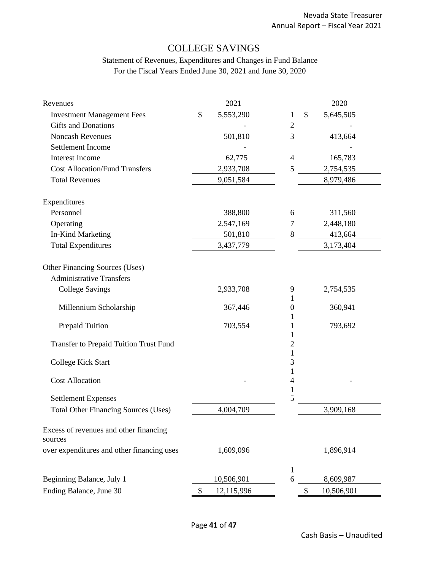# COLLEGE SAVINGS

| Revenues                                          |               | 2021       |                     | 2020             |
|---------------------------------------------------|---------------|------------|---------------------|------------------|
| <b>Investment Management Fees</b>                 | $\mathcal{S}$ | 5,553,290  | 1                   | \$<br>5,645,505  |
| <b>Gifts and Donations</b>                        |               |            | $\mathbf{2}$        |                  |
| <b>Noncash Revenues</b>                           |               | 501,810    | 3                   | 413,664          |
| Settlement Income                                 |               |            |                     |                  |
| <b>Interest Income</b>                            |               | 62,775     | $\overline{4}$      | 165,783          |
| <b>Cost Allocation/Fund Transfers</b>             |               | 2,933,708  | 5                   | 2,754,535        |
| <b>Total Revenues</b>                             |               | 9,051,584  |                     | 8,979,486        |
| Expenditures                                      |               |            |                     |                  |
| Personnel                                         |               | 388,800    | 6                   | 311,560          |
| Operating                                         |               | 2,547,169  | 7                   | 2,448,180        |
| In-Kind Marketing                                 |               | 501,810    | 8                   | 413,664          |
| <b>Total Expenditures</b>                         |               | 3,437,779  |                     | 3,173,404        |
| Other Financing Sources (Uses)                    |               |            |                     |                  |
| <b>Administrative Transfers</b>                   |               |            |                     |                  |
| <b>College Savings</b>                            |               | 2,933,708  | 9<br>1              | 2,754,535        |
| Millennium Scholarship                            |               | 367,446    | $\boldsymbol{0}$    | 360,941          |
| Prepaid Tuition                                   |               | 703,554    | 1                   | 793,692          |
| <b>Transfer to Prepaid Tuition Trust Fund</b>     |               |            | 1<br>$\overline{c}$ |                  |
| College Kick Start                                |               |            | 1<br>3              |                  |
| <b>Cost Allocation</b>                            |               |            | 4<br>$\mathbf{1}$   |                  |
| <b>Settlement Expenses</b>                        |               |            | 5                   |                  |
| <b>Total Other Financing Sources (Uses)</b>       |               | 4,004,709  |                     | 3,909,168        |
| Excess of revenues and other financing<br>sources |               |            |                     |                  |
| over expenditures and other financing uses        |               | 1,609,096  |                     | 1,896,914        |
|                                                   |               |            | 1                   |                  |
| Beginning Balance, July 1                         |               | 10,506,901 | 6                   | 8,609,987        |
| Ending Balance, June 30                           | \$            | 12,115,996 |                     | \$<br>10,506,901 |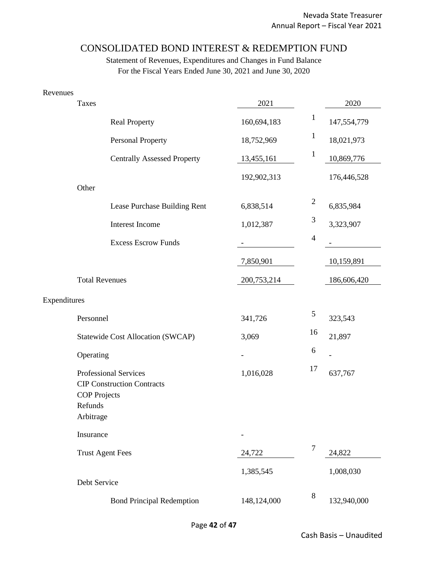#### CONSOLIDATED BOND INTEREST & REDEMPTION FUND

| Revenues     |                                                                                                           |             |                |             |
|--------------|-----------------------------------------------------------------------------------------------------------|-------------|----------------|-------------|
|              | Taxes                                                                                                     | 2021        |                | 2020        |
|              | <b>Real Property</b>                                                                                      | 160,694,183 | $\mathbf{1}$   | 147,554,779 |
|              | <b>Personal Property</b>                                                                                  | 18,752,969  | $\mathbf{1}$   | 18,021,973  |
|              | <b>Centrally Assessed Property</b>                                                                        | 13,455,161  | $\mathbf{1}$   | 10,869,776  |
|              |                                                                                                           | 192,902,313 |                | 176,446,528 |
|              | Other                                                                                                     |             |                |             |
|              | Lease Purchase Building Rent                                                                              | 6,838,514   | $\mathbf{2}$   | 6,835,984   |
|              | Interest Income                                                                                           | 1,012,387   | $\mathfrak{Z}$ | 3,323,907   |
|              | <b>Excess Escrow Funds</b>                                                                                |             | $\overline{4}$ |             |
|              |                                                                                                           | 7,850,901   |                | 10,159,891  |
|              | <b>Total Revenues</b>                                                                                     | 200,753,214 |                | 186,606,420 |
| Expenditures |                                                                                                           |             |                |             |
|              | Personnel                                                                                                 | 341,726     | $\sqrt{5}$     | 323,543     |
|              | Statewide Cost Allocation (SWCAP)                                                                         | 3,069       | 16             | 21,897      |
|              | Operating                                                                                                 |             | 6              |             |
|              | Professional Services<br><b>CIP Construction Contracts</b><br><b>COP</b> Projects<br>Refunds<br>Arbitrage | 1,016,028   | 17             | 637,767     |
|              | Insurance                                                                                                 |             |                |             |
|              | <b>Trust Agent Fees</b>                                                                                   | 24,722      | $\overline{7}$ | 24,822      |
|              | Debt Service                                                                                              | 1,385,545   |                | 1,008,030   |
|              | <b>Bond Principal Redemption</b>                                                                          | 148,124,000 | $8\,$          | 132,940,000 |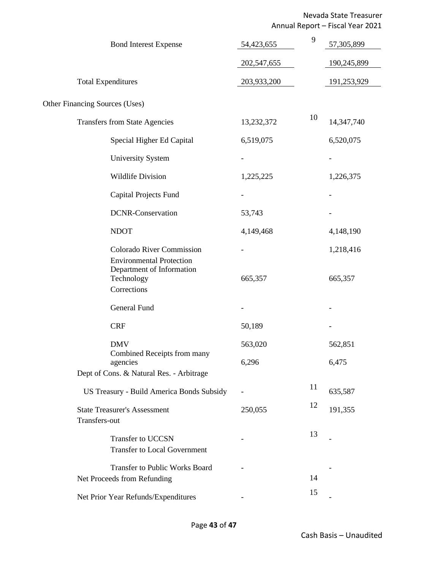Nevada State Treasurer Annual Report – Fiscal Year 2021

| <b>Bond Interest Expense</b>                                                              | 54,423,655  | 9  | 57,305,899  |
|-------------------------------------------------------------------------------------------|-------------|----|-------------|
|                                                                                           | 202,547,655 |    | 190,245,899 |
| <b>Total Expenditures</b>                                                                 | 203,933,200 |    | 191,253,929 |
| Other Financing Sources (Uses)                                                            |             |    |             |
| <b>Transfers from State Agencies</b>                                                      | 13,232,372  | 10 | 14,347,740  |
| Special Higher Ed Capital                                                                 | 6,519,075   |    | 6,520,075   |
| <b>University System</b>                                                                  |             |    |             |
| <b>Wildlife Division</b>                                                                  | 1,225,225   |    | 1,226,375   |
| Capital Projects Fund                                                                     |             |    |             |
| <b>DCNR-Conservation</b>                                                                  | 53,743      |    |             |
| <b>NDOT</b>                                                                               | 4,149,468   |    | 4,148,190   |
| <b>Colorado River Commission</b>                                                          |             |    | 1,218,416   |
| <b>Environmental Protection</b><br>Department of Information<br>Technology<br>Corrections | 665,357     |    | 665,357     |
| General Fund                                                                              |             |    |             |
| <b>CRF</b>                                                                                | 50,189      |    |             |
| <b>DMV</b>                                                                                | 563,020     |    | 562,851     |
| Combined Receipts from many<br>agencies<br>Dept of Cons. & Natural Res. - Arbitrage       | 6,296       |    | 6,475       |
| US Treasury - Build America Bonds Subsidy                                                 |             | 11 | 635,587     |
| <b>State Treasurer's Assessment</b>                                                       |             | 12 | 191,355     |
| Transfers-out                                                                             | 250,055     |    |             |
| Transfer to UCCSN<br><b>Transfer to Local Government</b>                                  |             | 13 |             |
| <b>Transfer to Public Works Board</b><br>Net Proceeds from Refunding                      |             | 14 |             |
| Net Prior Year Refunds/Expenditures                                                       |             | 15 |             |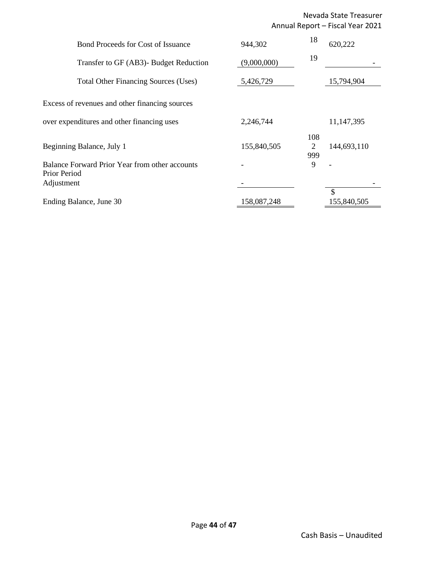#### Nevada State Treasurer Annual Report – Fiscal Year 2021

| <b>Bond Proceeds for Cost of Issuance</b><br>Transfer to GF (AB3)- Budget Reduction | 944,302<br>(9,000,000) | 18<br>19        | 620,222           |
|-------------------------------------------------------------------------------------|------------------------|-----------------|-------------------|
| <b>Total Other Financing Sources (Uses)</b>                                         | 5,426,729              |                 | 15,794,904        |
| Excess of revenues and other financing sources                                      |                        |                 |                   |
| over expenditures and other financing uses                                          | 2,246,744              |                 | 11,147,395        |
| Beginning Balance, July 1                                                           | 155,840,505            | 108<br>2<br>999 | 144,693,110       |
| Balance Forward Prior Year from other accounts<br>Prior Period<br>Adjustment        |                        | 9               |                   |
| Ending Balance, June 30                                                             | 158,087,248            |                 | \$<br>155,840,505 |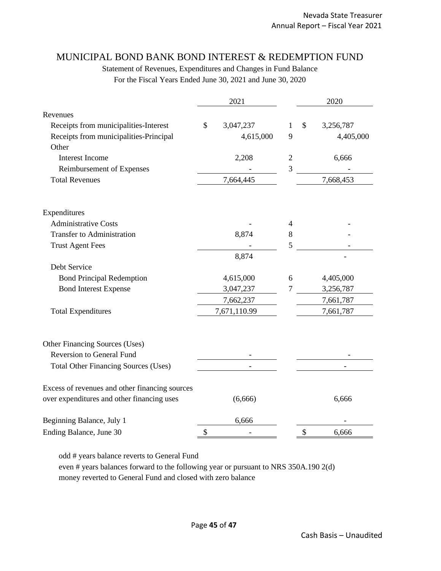#### MUNICIPAL BOND BANK BOND INTEREST & REDEMPTION FUND

Statement of Revenues, Expenditures and Changes in Fund Balance For the Fiscal Years Ended June 30, 2021 and June 30, 2020

|                                                | 2021            |                | 2020 |           |
|------------------------------------------------|-----------------|----------------|------|-----------|
| Revenues                                       |                 |                |      |           |
| Receipts from municipalities-Interest          | \$<br>3,047,237 | 1              | \$   | 3,256,787 |
| Receipts from municipalities-Principal         | 4,615,000       | 9              |      | 4,405,000 |
| Other                                          |                 |                |      |           |
| <b>Interest Income</b>                         | 2,208           | $\overline{2}$ |      | 6,666     |
| Reimbursement of Expenses                      |                 | 3              |      |           |
| <b>Total Revenues</b>                          | 7,664,445       |                |      | 7,668,453 |
| Expenditures                                   |                 |                |      |           |
| <b>Administrative Costs</b>                    |                 | 4              |      |           |
| <b>Transfer to Administration</b>              | 8,874           | 8              |      |           |
| <b>Trust Agent Fees</b>                        |                 | 5              |      |           |
|                                                | 8,874           |                |      |           |
| Debt Service                                   |                 |                |      |           |
| <b>Bond Principal Redemption</b>               | 4,615,000       | 6              |      | 4,405,000 |
| <b>Bond Interest Expense</b>                   | 3,047,237       | $\overline{7}$ |      | 3,256,787 |
|                                                | 7,662,237       |                |      | 7,661,787 |
| <b>Total Expenditures</b>                      | 7,671,110.99    |                |      | 7,661,787 |
| Other Financing Sources (Uses)                 |                 |                |      |           |
| <b>Reversion to General Fund</b>               |                 |                |      |           |
| <b>Total Other Financing Sources (Uses)</b>    |                 |                |      |           |
| Excess of revenues and other financing sources |                 |                |      |           |
| over expenditures and other financing uses     | (6,666)         |                |      | 6,666     |
| Beginning Balance, July 1                      | 6,666           |                |      |           |
| Ending Balance, June 30                        | \$              |                | \$   | 6,666     |

odd # years balance reverts to General Fund

even # years balances forward to the following year or pursuant to NRS 350A.190 2(d) money reverted to General Fund and closed with zero balance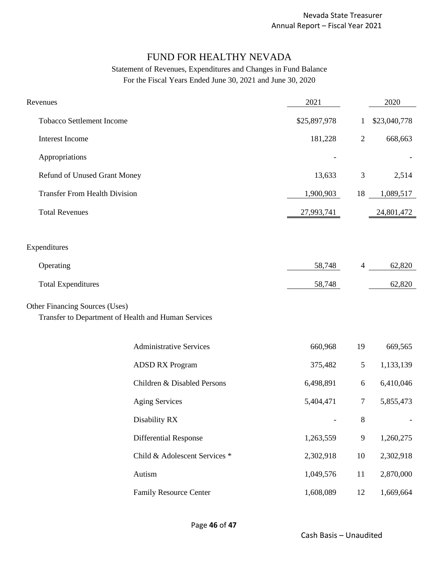# FUND FOR HEALTHY NEVADA

| Revenues                                                                              |                                | 2021                     |                | 2020         |
|---------------------------------------------------------------------------------------|--------------------------------|--------------------------|----------------|--------------|
| <b>Tobacco Settlement Income</b>                                                      |                                | \$25,897,978             | $\mathbf{1}$   | \$23,040,778 |
| Interest Income                                                                       |                                | 181,228                  | $\overline{2}$ | 668,663      |
| Appropriations                                                                        |                                |                          |                |              |
| Refund of Unused Grant Money                                                          |                                | 13,633                   | $\mathfrak{Z}$ | 2,514        |
| <b>Transfer From Health Division</b>                                                  |                                | 1,900,903                | 18             | 1,089,517    |
| <b>Total Revenues</b>                                                                 |                                | 27,993,741               |                | 24,801,472   |
|                                                                                       |                                |                          |                |              |
| Expenditures                                                                          |                                |                          |                |              |
| Operating                                                                             |                                | 58,748                   | 4              | 62,820       |
| <b>Total Expenditures</b>                                                             |                                | 58,748                   |                | 62,820       |
| Other Financing Sources (Uses)<br>Transfer to Department of Health and Human Services |                                |                          |                |              |
|                                                                                       | <b>Administrative Services</b> | 660,968                  | 19             | 669,565      |
|                                                                                       | <b>ADSD RX Program</b>         | 375,482                  | $\mathfrak{S}$ | 1,133,139    |
|                                                                                       | Children & Disabled Persons    | 6,498,891                | $6\,$          | 6,410,046    |
|                                                                                       | <b>Aging Services</b>          | 5,404,471                | $\tau$         | 5,855,473    |
|                                                                                       | Disability RX                  | $\overline{\phantom{a}}$ | $\,8\,$        |              |
|                                                                                       | <b>Differential Response</b>   | 1,263,559                | $\overline{9}$ | 1,260,275    |
|                                                                                       | Child & Adolescent Services *  | 2,302,918                | 10             | 2,302,918    |
|                                                                                       | Autism                         | 1,049,576                | 11             | 2,870,000    |
|                                                                                       | <b>Family Resource Center</b>  | 1,608,089                | 12             | 1,669,664    |